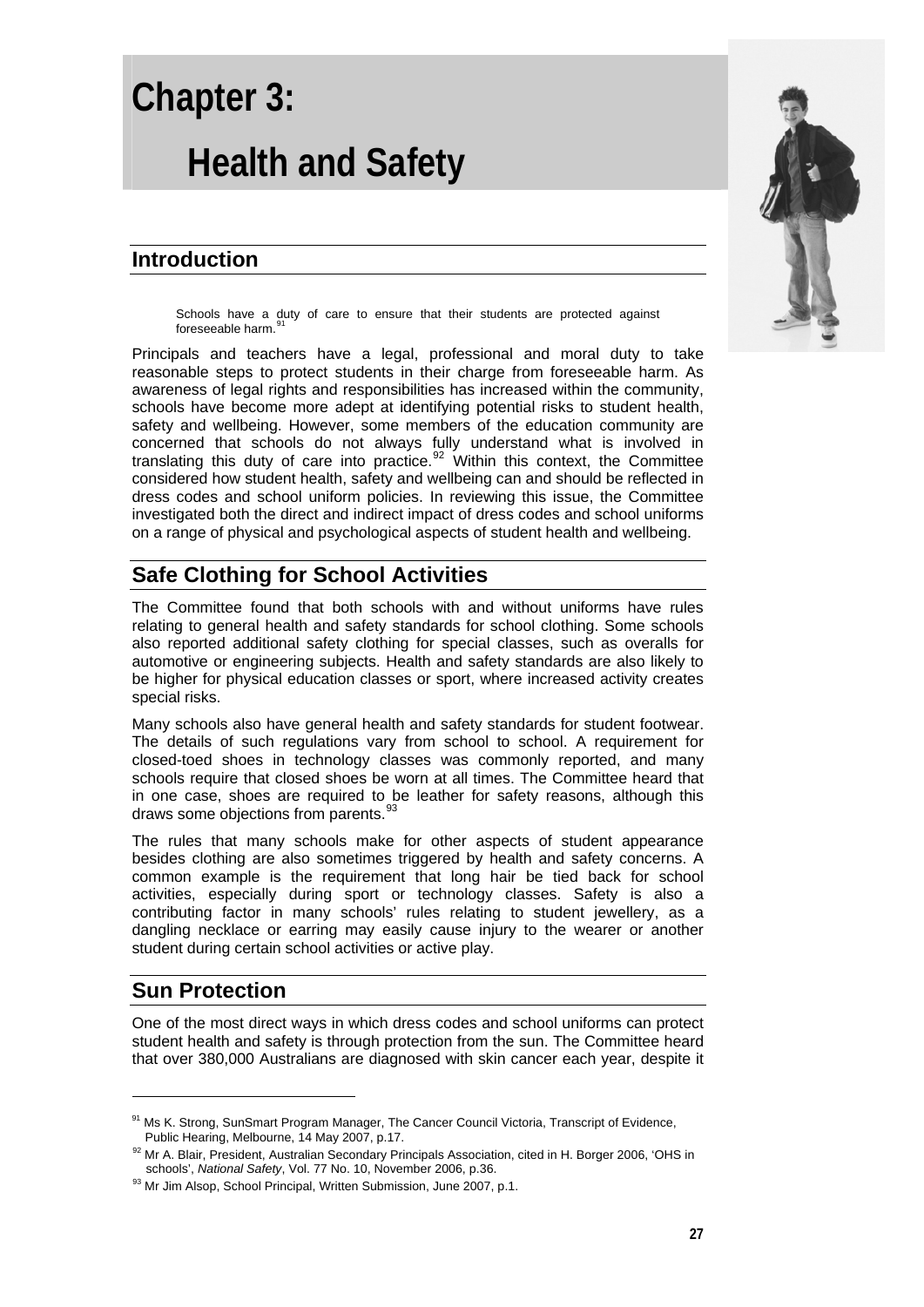# **Chapter 3: Health and Safety**

## **Introduction**

Schools have a duty of care to ensure that their students are protected against foreseeable harm.<sup>[91](#page-0-0)</sup>

Principals and teachers have a legal, professional and moral duty to take reasonable steps to protect students in their charge from foreseeable harm. As awareness of legal rights and responsibilities has increased within the community, schools have become more adept at identifying potential risks to student health, safety and wellbeing. However, some members of the education community are concerned that schools do not always fully understand what is involved in translating this duty of care into practice. $92$  Within this context, the Committee considered how student health, safety and wellbeing can and should be reflected in dress codes and school uniform policies. In reviewing this issue, the Committee investigated both the direct and indirect impact of dress codes and school uniforms on a range of physical and psychological aspects of student health and wellbeing.

# **Safe Clothing for School Activities**

The Committee found that both schools with and without uniforms have rules relating to general health and safety standards for school clothing. Some schools also reported additional safety clothing for special classes, such as overalls for automotive or engineering subjects. Health and safety standards are also likely to be higher for physical education classes or sport, where increased activity creates special risks.

Many schools also have general health and safety standards for student footwear. The details of such regulations vary from school to school. A requirement for closed-toed shoes in technology classes was commonly reported, and many schools require that closed shoes be worn at all times. The Committee heard that in one case, shoes are required to be leather for safety reasons, although this draws some objections from parents.<sup>[93](#page-0-2)</sup>

The rules that many schools make for other aspects of student appearance besides clothing are also sometimes triggered by health and safety concerns. A common example is the requirement that long hair be tied back for school activities, especially during sport or technology classes. Safety is also a contributing factor in many schools' rules relating to student jewellery, as a dangling necklace or earring may easily cause injury to the wearer or another student during certain school activities or active play.

## **Sun Protection**

1

One of the most direct ways in which dress codes and school uniforms can protect student health and safety is through protection from the sun. The Committee heard that over 380,000 Australians are diagnosed with skin cancer each year, despite it



<span id="page-0-0"></span><sup>&</sup>lt;sup>91</sup> Ms K. Strong, SunSmart Program Manager, The Cancer Council Victoria, Transcript of Evidence,<br>Public Hearing, Melbourne, 14 May 2007, p.17.

<span id="page-0-1"></span><sup>&</sup>lt;sup>92</sup> Mr A. Blair, President, Australian Secondary Principals Association, cited in H. Borger 2006, 'OHS in schools', National Safety, Vol. 77 No. 10, November 2006, p.36.

<span id="page-0-2"></span><sup>&</sup>lt;sup>93</sup> Mr Jim Alsop, School Principal, Written Submission, June 2007, p.1.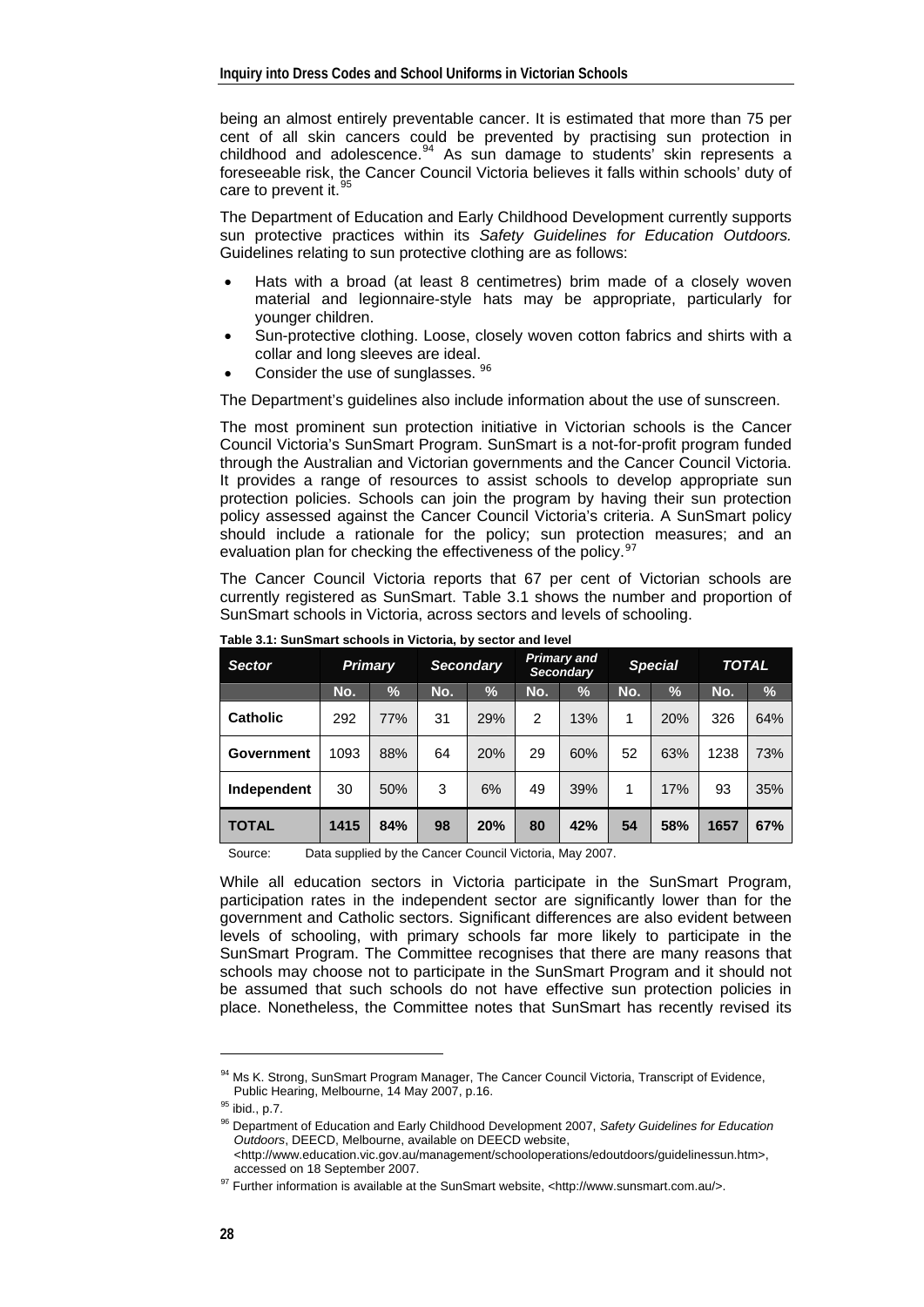being an almost entirely preventable cancer. It is estimated that more than 75 per cent of all skin cancers could be prevented by practising sun protection in childhood and adolescence. $94$  As sun damage to students' skin represents a foreseeable risk, the Cancer Council Victoria believes it falls within schools' duty of care to prevent it.<sup>[95](#page-1-1)</sup>

The Department of Education and Early Childhood Development currently supports sun protective practices within its *Safety Guidelines for Education Outdoors.*  Guidelines relating to sun protective clothing are as follows:

- Hats with a broad (at least 8 centimetres) brim made of a closely woven material and legionnaire-style hats may be appropriate, particularly for younger children.
- Sun-protective clothing. Loose, closely woven cotton fabrics and shirts with a collar and long sleeves are ideal.
- Consider the use of sunglasses. <sup>[96](#page-1-2)</sup>

The Department's guidelines also include information about the use of sunscreen.

The most prominent sun protection initiative in Victorian schools is the Cancer Council Victoria's SunSmart Program. SunSmart is a not-for-profit program funded through the Australian and Victorian governments and the Cancer Council Victoria. It provides a range of resources to assist schools to develop appropriate sun protection policies. Schools can join the program by having their sun protection policy assessed against the Cancer Council Victoria's criteria. A SunSmart policy should include a rationale for the policy; sun protection measures; and an evaluation plan for checking the effectiveness of the policy.<sup>[97](#page-1-3)</sup>

The Cancer Council Victoria reports that 67 per cent of Victorian schools are currently registered as SunSmart. Table 3.1 shows the number and proportion of SunSmart schools in Victoria, across sectors and levels of schooling.

| <b>Sector</b>   | <b>Primary</b> |     | <b>Secondary</b> |               | <b>Primary and</b><br><b>Secondary</b> |      | <b>Special</b> |               | TOTAL |      |
|-----------------|----------------|-----|------------------|---------------|----------------------------------------|------|----------------|---------------|-------|------|
|                 | No.            | %   | No.              | $\frac{1}{2}$ | No.                                    | $\%$ | No.            | $\frac{9}{6}$ | No.   | $\%$ |
| <b>Catholic</b> | 292            | 77% | 31               | 29%           | $\overline{2}$                         | 13%  | 1              | 20%           | 326   | 64%  |
| Government      | 1093           | 88% | 64               | 20%           | 29                                     | 60%  | 52             | 63%           | 1238  | 73%  |
| Independent     | 30             | 50% | 3                | 6%            | 49                                     | 39%  | 1              | 17%           | 93    | 35%  |
| <b>TOTAL</b>    | 1415           | 84% | 98               | 20%           | 80                                     | 42%  | 54             | 58%           | 1657  | 67%  |

**Table 3.1: SunSmart schools in Victoria, by sector and level** 

Source: Data supplied by the Cancer Council Victoria, May 2007.

While all education sectors in Victoria participate in the SunSmart Program, participation rates in the independent sector are significantly lower than for the government and Catholic sectors. Significant differences are also evident between levels of schooling, with primary schools far more likely to participate in the SunSmart Program. The Committee recognises that there are many reasons that schools may choose not to participate in the SunSmart Program and it should not be assumed that such schools do not have effective sun protection policies in place. Nonetheless, the Committee notes that SunSmart has recently revised its

<span id="page-1-0"></span><sup>94</sup> Ms K. Strong, SunSmart Program Manager, The Cancer Council Victoria, Transcript of Evidence, Public Hearing, Melbourne, 14 May 2007, p.16.<br><sup>95</sup> ibid., p.7.

<span id="page-1-2"></span><span id="page-1-1"></span>

<sup>96</sup> Department of Education and Early Childhood Development 2007, *Safety Guidelines for Education Outdoors*, DEECD, Melbourne, available on DEECD website, <http://www.education.vic.gov.au/management/schooloperations/edoutdoors/guidelinessun.htm>,

<span id="page-1-3"></span>accessed on 18 September 2007.<br><sup>97</sup> Further information is available at the SunSmart website, <http://www.sunsmart.com.au/>.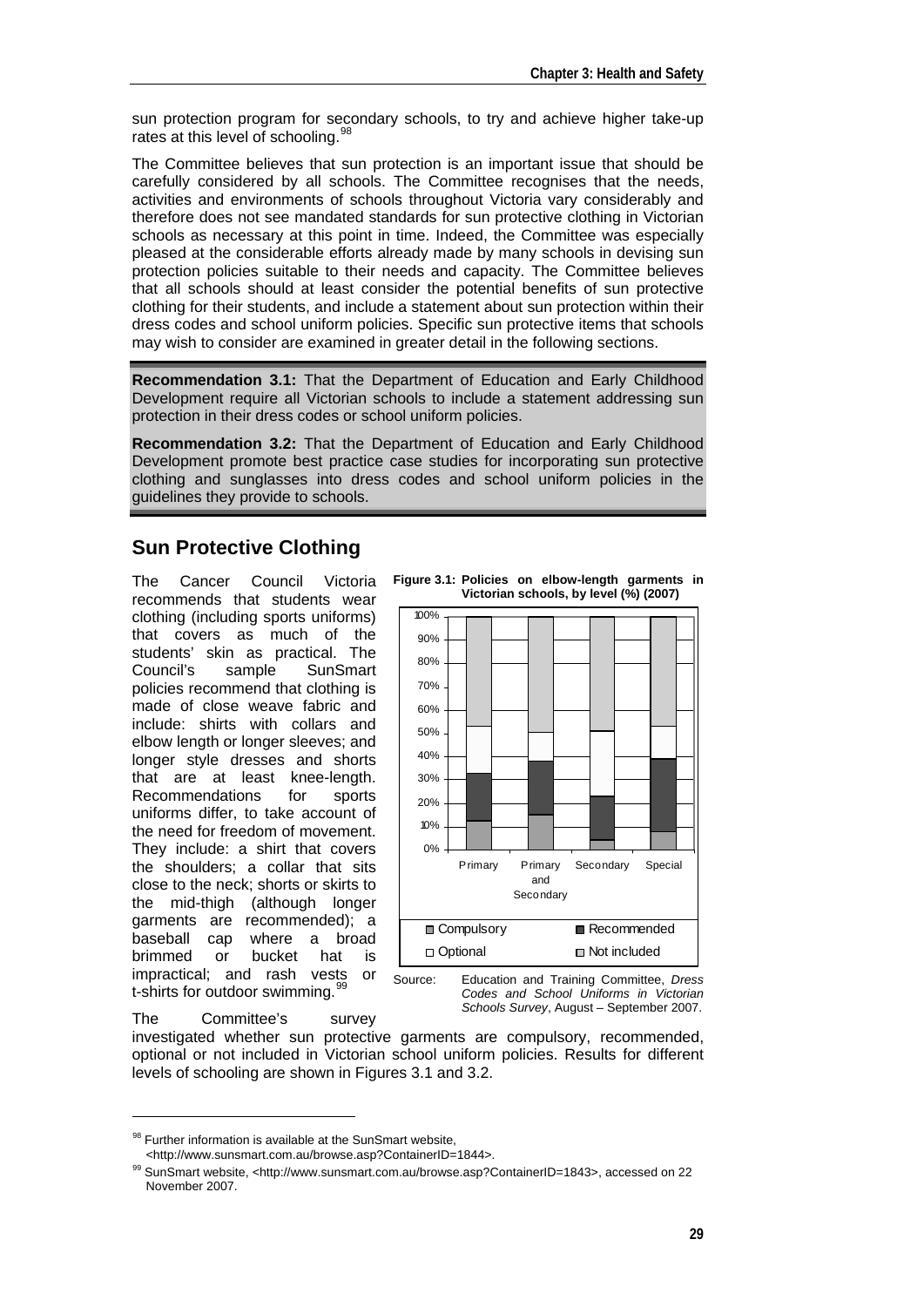sun protection program for secondary schools, to try and achieve higher take-up rates at this level of schooling.<sup>[98](#page-2-0)</sup>

The Committee believes that sun protection is an important issue that should be carefully considered by all schools. The Committee recognises that the needs, activities and environments of schools throughout Victoria vary considerably and therefore does not see mandated standards for sun protective clothing in Victorian schools as necessary at this point in time. Indeed, the Committee was especially pleased at the considerable efforts already made by many schools in devising sun protection policies suitable to their needs and capacity. The Committee believes that all schools should at least consider the potential benefits of sun protective clothing for their students, and include a statement about sun protection within their dress codes and school uniform policies. Specific sun protective items that schools may wish to consider are examined in greater detail in the following sections.

**Recommendation 3.1:** That the Department of Education and Early Childhood Development require all Victorian schools to include a statement addressing sun protection in their dress codes or school uniform policies.

**Recommendation 3.2:** That the Department of Education and Early Childhood Development promote best practice case studies for incorporating sun protective clothing and sunglasses into dress codes and school uniform policies in the guidelines they provide to schools.

### **Sun Protective Clothing**

The Cancer Council Victoria recommends that students wear clothing (including sports uniforms) that covers as much of the students' skin as practical. The Council's sample SunSmart policies recommend that clothing is made of close weave fabric and include: shirts with collars and elbow length or longer sleeves; and longer style dresses and shorts that are at least knee-length. Recommendations for sports uniforms differ, to take account of the need for freedom of movement. They include: a shirt that covers the shoulders; a collar that sits close to the neck; shorts or skirts to the mid-thigh (although longer garments are recommended); a<br>baseball cap where a broad where a broad brimmed or bucket hat is impractical; and rash vests or t-shirts for outdoor swimming.<sup>[99](#page-2-1)</sup>

The Committee's survey

-





Source: Education and Training Committee, *Dress Codes and School Uniforms in Victorian Schools Survey*, August – September 2007.

investigated whether sun protective garments are compulsory, recommended, optional or not included in Victorian school uniform policies. Results for different levels of schooling are shown in Figures 3.1 and 3.2.

<span id="page-2-0"></span><sup>&</sup>lt;sup>98</sup> Further information is available at the SunSmart website,<br>
<http://www.sunsmart.com.au/browse.asp?ContainerID=1844>.

<span id="page-2-1"></span> $^{99}$  SunSmart website, <http://www.sunsmart.com.au/browse.asp?ContainerID=1843>, accessed on 22 November 2007.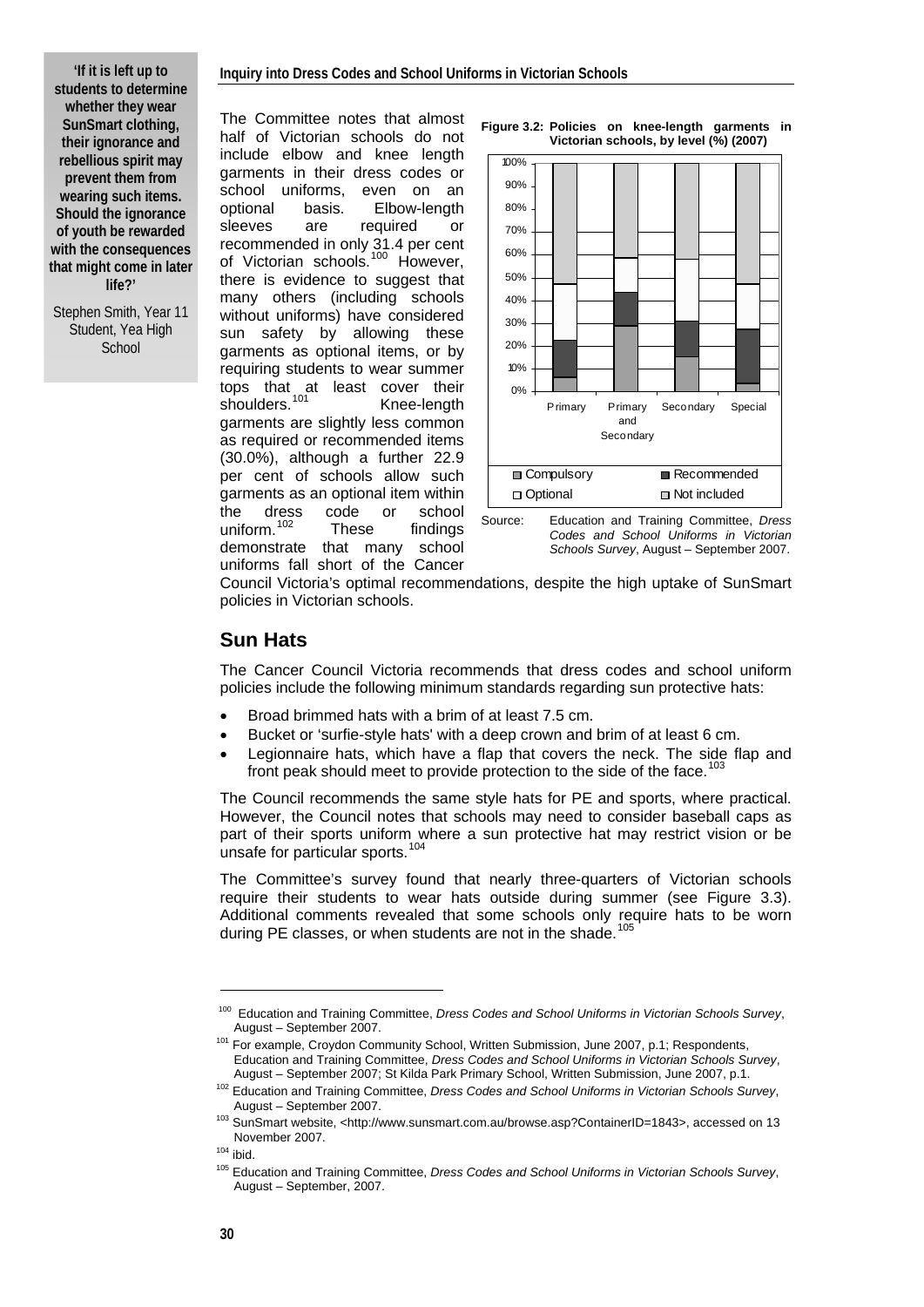**'If it is left up to students to determine whether they wear SunSmart clothing, their ignorance and rebellious spirit may prevent them from wearing such items. Should the ignorance of youth be rewarded with the consequences that might come in later life?'** 

Stephen Smith, Year 11 Student, Yea High **School** 

The Committee notes that almost half of Victorian schools do not include elbow and knee length garments in their dress codes or school uniforms, even on an optional basis. Elbow-length sleeves are required or recommended in only 31.4 per cent of Victorian schools.<sup>[100](#page-3-0)</sup> However, there is evidence to suggest that many others (including schools without uniforms) have considered sun safety by allowing these garments as optional items, or by requiring students to wear summer tops that at least cover their shoulders.<sup>[101](#page-3-1)</sup> Knee-length garments are slightly less common as required or recommended items (30.0%), although a further 22.9 per cent of schools allow such garments as an optional item within the dress code or school uniform.<sup>[102](#page-3-2)</sup> These findings demonstrate that many school uniforms fall short of the Cancer







Source: Education and Training Committee, *Dress Codes and School Uniforms in Victorian Schools Survey*, August – September 2007.

Council Victoria's optimal recommendations, despite the high uptake of SunSmart policies in Victorian schools.

#### **Sun Hats**

The Cancer Council Victoria recommends that dress codes and school uniform policies include the following minimum standards regarding sun protective hats:

- Broad brimmed hats with a brim of at least 7.5 cm.
- Bucket or 'surfie-style hats' with a deep crown and brim of at least 6 cm.
- Legionnaire hats, which have a flap that covers the neck. The side flap and front peak should meet to provide protection to the side of the face.<sup>[103](#page-3-3)</sup>

The Council recommends the same style hats for PE and sports, where practical. However, the Council notes that schools may need to consider baseball caps as part of their sports uniform where a sun protective hat may restrict vision or be unsafe for particular sports.<sup>[104](#page-3-4)</sup>

The Committee's survey found that nearly three-quarters of Victorian schools require their students to wear hats outside during summer (see Figure 3.3). Additional comments revealed that some schools only require hats to be worn during PE classes, or when students are not in the shade.<sup>[105](#page-3-5)</sup>

<span id="page-3-0"></span><sup>100</sup> Education and Training Committee, *Dress Codes and School Uniforms in Victorian Schools Survey*, August – September 2007.<br><sup>101</sup> For example, Croydon Community School, Written Submission, June 2007, p.1; Respondents,

Education and Training Committee, *Dress Codes and School Uniforms in Victorian Schools Survey*,

<span id="page-3-1"></span>August – September 2007; St Kilda Park Primary School, Written Submission, June 2007, p.1. 102 Education and Training Committee, *Dress Codes and School Uniforms in Victorian Schools Survey*,

<span id="page-3-2"></span>August – September 2007.<br><sup>103</sup> SunSmart website, <http://www.sunsmart.com.au/browse.asp?ContainerID=1843>, accessed on 13

<span id="page-3-5"></span><span id="page-3-4"></span>

<span id="page-3-3"></span>November 2007. 104 ibid. 105 Education and Training Committee, *Dress Codes and School Uniforms in Victorian Schools Survey*, August – September, 2007.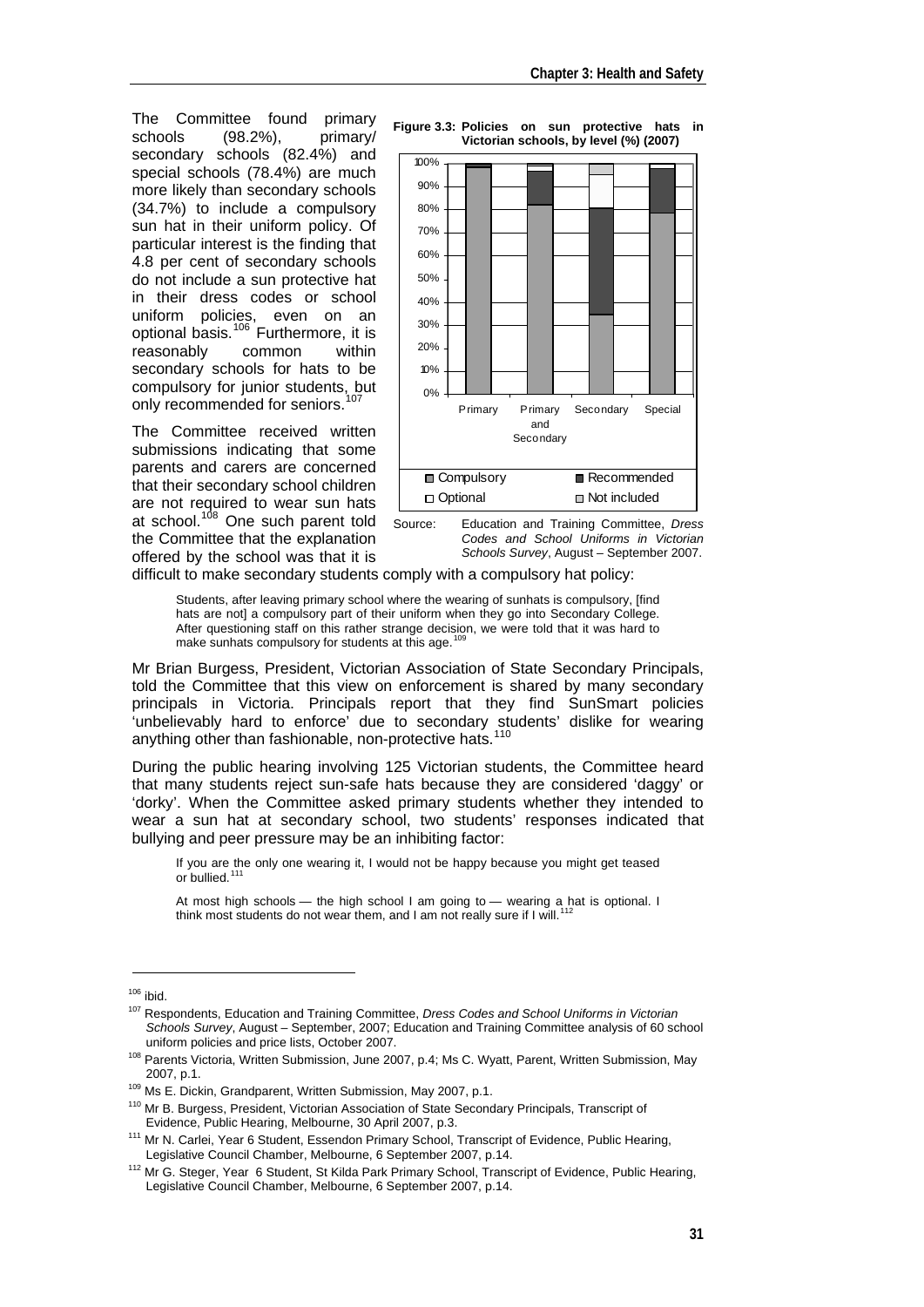The Committee found primary<br>schools (98.2%), primary/ schools (98.2%), primary/ secondary schools (82.4%) and special schools (78.4%) are much more likely than secondary schools (34.7%) to include a compulsory sun hat in their uniform policy. Of particular interest is the finding that 4.8 per cent of secondary schools do not include a sun protective hat in their dress codes or school uniform policies, even on an optional basis.[106](#page-4-0) Furthermore, it is reasonably common within secondary schools for hats to be compulsory for junior students, but only recommended for seniors.<sup>1</sup>

The Committee received written submissions indicating that some parents and carers are concerned that their secondary school children are not required to wear sun hats at school.<sup>[108](#page-4-2)</sup> One such parent told the Committee that the explanation offered by the school was that it is



Source: Education and Training Committee, *Dress Codes and School Uniforms in Victorian Schools Survey*, August – September 2007.

difficult to make secondary students comply with a compulsory hat policy:

Students, after leaving primary school where the wearing of sunhats is compulsory, [find hats are not] a compulsory part of their uniform when they go into Secondary College. After questioning staff on this rather strange decision, we were told that it was hard to make sunhats compulsory for students at this age.<sup>[109](#page-4-3)</sup>

Mr Brian Burgess, President, Victorian Association of State Secondary Principals, told the Committee that this view on enforcement is shared by many secondary principals in Victoria. Principals report that they find SunSmart policies 'unbelievably hard to enforce' due to secondary students' dislike for wearing anything other than fashionable, non-protective hats.<sup>[110](#page-4-4)</sup>

During the public hearing involving 125 Victorian students, the Committee heard that many students reject sun-safe hats because they are considered 'daggy' or 'dorky'. When the Committee asked primary students whether they intended to wear a sun hat at secondary school, two students' responses indicated that bullying and peer pressure may be an inhibiting factor:

If you are the only one wearing it, I would not be happy because you might get teased or bullied.<sup>[111](#page-4-5)</sup>

At most high schools — the high school I am going to — wearing a hat is optional. I<br>think most students do not wear them, and I am not really sure if I will.<sup>[112](#page-4-6)</sup>

<span id="page-4-1"></span><span id="page-4-0"></span><sup>&</sup>lt;sup>106</sup> ibid.<br><sup>107</sup> Respondents, Education and Training Committee, *Dress Codes and School Uniforms in Victorian Schools Survey*, August – September, 2007; Education and Training Committee analysis of 60 school

<span id="page-4-2"></span><sup>&</sup>lt;sup>108</sup> Parents Victoria. Written Submission, June 2007, p.4; Ms C. Wyatt, Parent, Written Submission, May

<span id="page-4-3"></span>

<sup>2007,</sup> p.1.<br><sup>109</sup> Ms E. Dickin, Grandparent, Written Submission, May 2007, p.1.<br><sup>110</sup> Mr B. Burgess, President, Victorian Association of State Secondary Principals, Transcript of

<span id="page-4-5"></span><span id="page-4-4"></span>Evidence, Public Hearing, Melbourne, 30 April 2007, p.3.<br><sup>111</sup> Mr N. Carlei, Year 6 Student, Essendon Primary School, Transcript of Evidence, Public Hearing,<br>Legislative Council Chamber, Melbourne, 6 September 2007, p.14.

<span id="page-4-6"></span><sup>&</sup>lt;sup>112</sup> Mr G. Steger, Year 6 Student, St Kilda Park Primary School, Transcript of Evidence, Public Hearing, Legislative Council Chamber, Melbourne, 6 September 2007, p.14.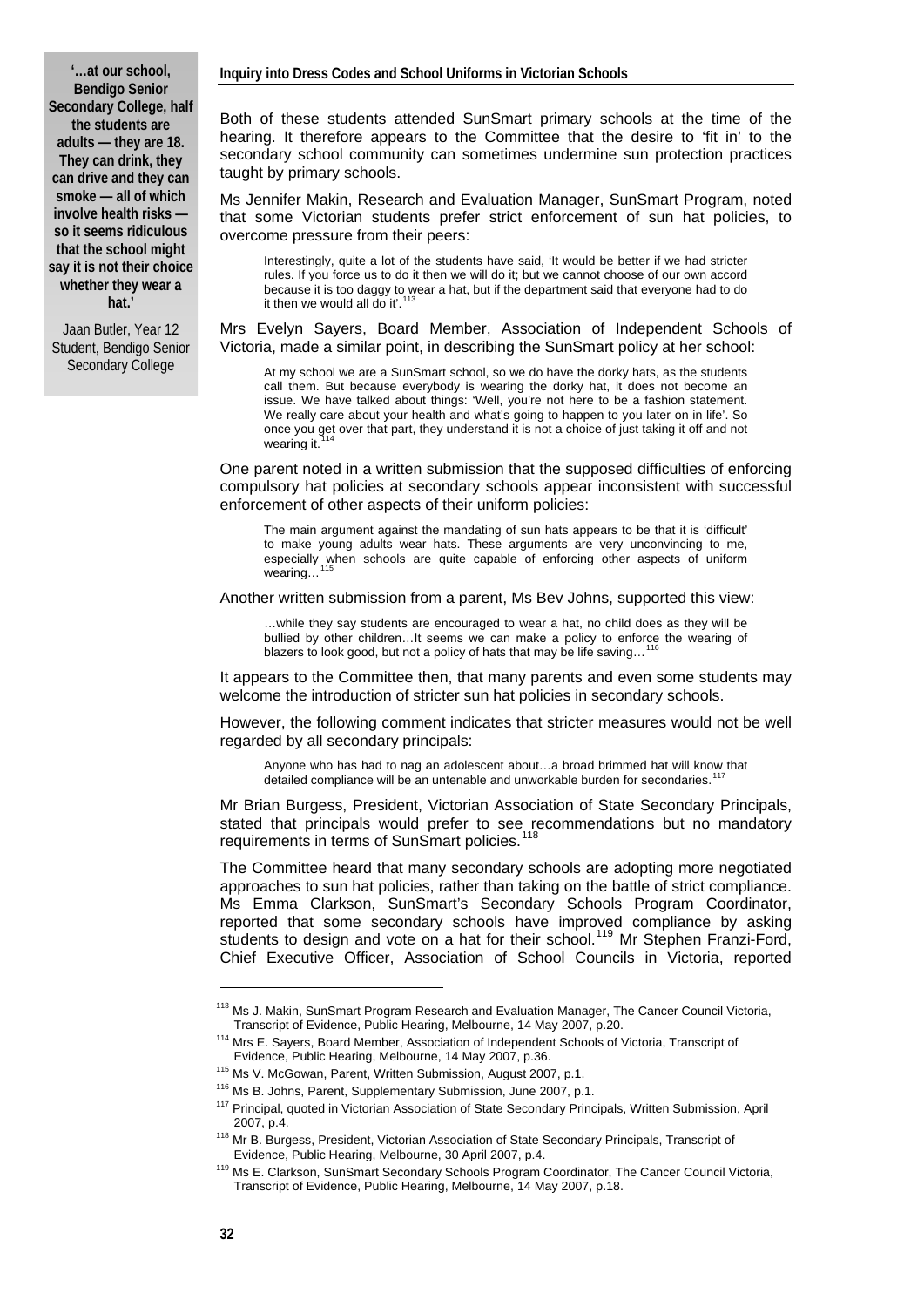#### **'…at our school, Bendigo Senior Secondary College, half the students are adults — they are 18. They can drink, they can drive and they can smoke — all of which involve health risks so it seems ridiculous that the school might say it is not their choice whether they wear a hat.'**

Jaan Butler, Year 12 Student, Bendigo Senior Secondary College

Both of these students attended SunSmart primary schools at the time of the hearing. It therefore appears to the Committee that the desire to 'fit in' to the secondary school community can sometimes undermine sun protection practices taught by primary schools.

Ms Jennifer Makin, Research and Evaluation Manager, SunSmart Program, noted that some Victorian students prefer strict enforcement of sun hat policies, to overcome pressure from their peers:

Interestingly, quite a lot of the students have said, 'It would be better if we had stricter rules. If you force us to do it then we will do it; but we cannot choose of our own accord because it is too daggy to wear a hat, but if the department said that everyone had to do<br>it then we would all do it'.<sup>[113](#page-5-0)</sup>

Mrs Evelyn Sayers, Board Member, Association of Independent Schools of Victoria, made a similar point, in describing the SunSmart policy at her school:

At my school we are a SunSmart school, so we do have the dorky hats, as the students call them. But because everybody is wearing the dorky hat, it does not become an issue. We have talked about things: 'Well, you're not here to be a fashion statement. We really care about your health and what's going to happen to you later on in life'. So once you get over that part, they understand it is not a choice of just taking it off and not wearing it.

One parent noted in a written submission that the supposed difficulties of enforcing compulsory hat policies at secondary schools appear inconsistent with successful enforcement of other aspects of their uniform policies:

The main argument against the mandating of sun hats appears to be that it is 'difficult' to make young adults wear hats. These arguments are very unconvincing to me, especially when schools are quite capable of enforcing other aspects of uniform wearing...

Another written submission from a parent, Ms Bev Johns, supported this view:

…while they say students are encouraged to wear a hat, no child does as they will be bullied by other children...It seems we can make a policy to enforce the wearing of blazers to look good, but not a policy of hats that may be life saving...

It appears to the Committee then, that many parents and even some students may welcome the introduction of stricter sun hat policies in secondary schools.

However, the following comment indicates that stricter measures would not be well regarded by all secondary principals:

Anyone who has had to nag an adolescent about…a broad brimmed hat will know that detailed compliance will be an untenable and unworkable burden for secondaries.

Mr Brian Burgess, President, Victorian Association of State Secondary Principals, stated that principals would prefer to see recommendations but no mandatory requirements in terms of SunSmart policies.<sup>[118](#page-5-5)</sup>

The Committee heard that many secondary schools are adopting more negotiated approaches to sun hat policies, rather than taking on the battle of strict compliance. Ms Emma Clarkson, SunSmart's Secondary Schools Program Coordinator, reported that some secondary schools have improved compliance by asking students to design and vote on a hat for their school.<sup>[119](#page-5-6)</sup> Mr Stephen Franzi-Ford, Chief Executive Officer, Association of School Councils in Victoria, reported

<span id="page-5-0"></span><sup>&</sup>lt;sup>113</sup> Ms J. Makin, SunSmart Program Research and Evaluation Manager, The Cancer Council Victoria,<br>Transcript of Evidence. Public Hearing. Melbourne. 14 May 2007. p.20.

<span id="page-5-1"></span><sup>&</sup>lt;sup>114</sup> Mrs E. Savers. Board Member, Association of Independent Schools of Victoria, Transcript of

<span id="page-5-3"></span><span id="page-5-2"></span>Evidence, Public Hearing, Melbourne, 14 May 2007, p.36.<br><sup>115</sup> Ms V. McGowan, Parent, Written Submission, August 2007, p.1.<br><sup>116</sup> Ms B. Johns, Parent, Supplementary Submission, June 2007, p.1.<br><sup>117</sup> Principal, quoted in Vic

<span id="page-5-5"></span><span id="page-5-4"></span><sup>&</sup>lt;sup>118</sup> Mr B. Burgess, President, Victorian Association of State Secondary Principals, Transcript of Evidence, Public Hearing, Melbourne, 30 April 2007, p.4.

<span id="page-5-6"></span><sup>&</sup>lt;sup>119</sup> Ms E. Clarkson, SunSmart Secondary Schools Program Coordinator, The Cancer Council Victoria, Transcript of Evidence, Public Hearing, Melbourne, 14 May 2007, p.18.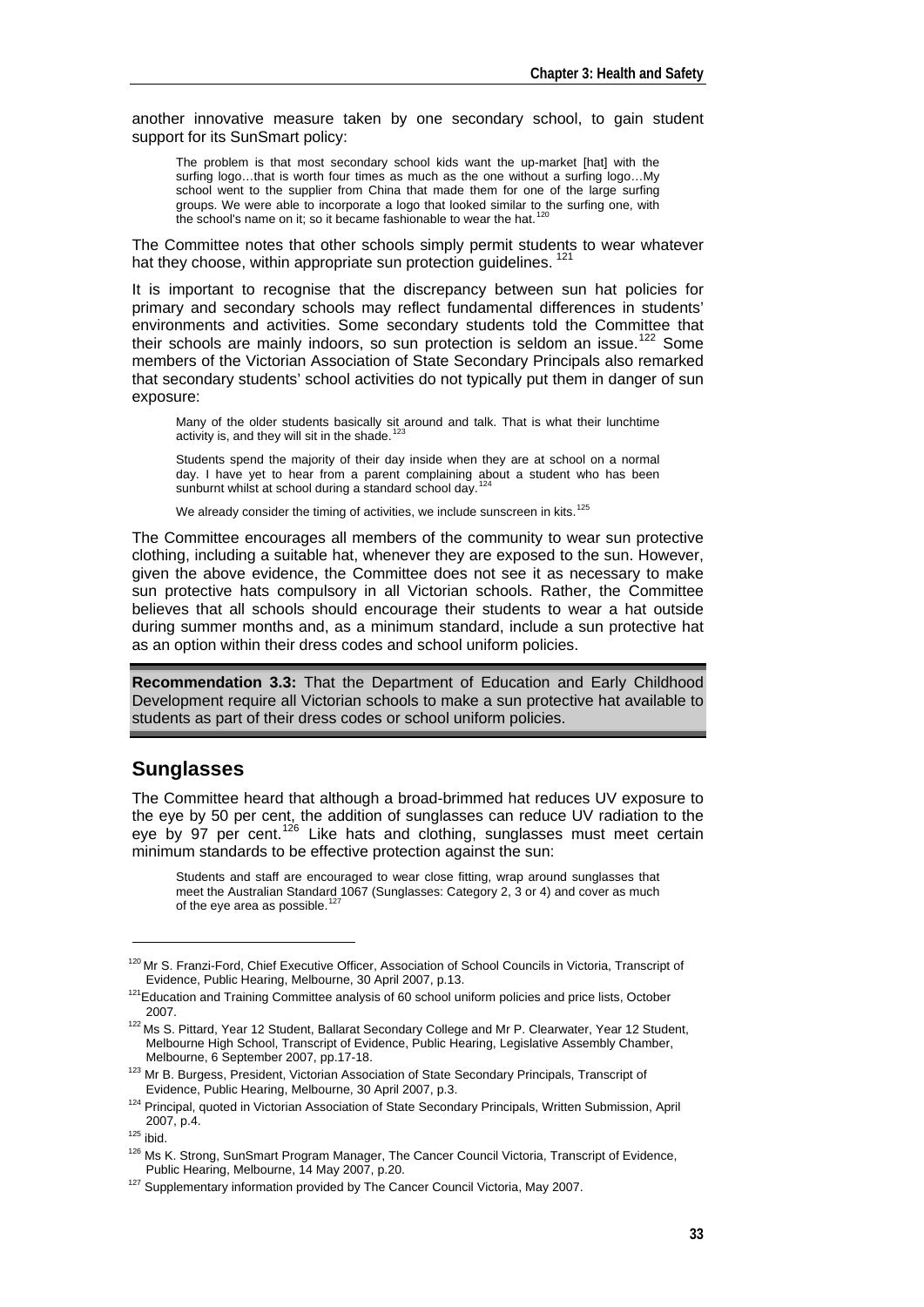another innovative measure taken by one secondary school, to gain student support for its SunSmart policy:

The problem is that most secondary school kids want the up-market [hat] with the surfing logo…that is worth four times as much as the one without a surfing logo…My school went to the supplier from China that made them for one of the large surfing groups. We were able to incorporate a logo that looked similar to the surfing one, with the school's name on it; so it became fashionable to wear the hat.<sup>[120](#page-6-0)</sup>

The Committee notes that other schools simply permit students to wear whatever hat they choose, within appropriate sun protection quidelines.<sup>[121](#page-6-1)</sup>

It is important to recognise that the discrepancy between sun hat policies for primary and secondary schools may reflect fundamental differences in students' environments and activities. Some secondary students told the Committee that their schools are mainly indoors, so sun protection is seldom an issue.<sup>[122](#page-6-2)</sup> Some members of the Victorian Association of State Secondary Principals also remarked that secondary students' school activities do not typically put them in danger of sun exposure:

Many of the older students basically sit around and talk. That is what their lunchtime<br>activity is, and they will sit in the shade.<sup>[123](#page-6-3)</sup>

Students spend the majority of their day inside when they are at school on a normal day. I have yet to hear from a parent complaining about a student who has been sunburnt whilst at school during a standard school day.

We already consider the timing of activities, we include sunscreen in kits.<sup>[125](#page-6-5)</sup>

The Committee encourages all members of the community to wear sun protective clothing, including a suitable hat, whenever they are exposed to the sun. However, given the above evidence, the Committee does not see it as necessary to make sun protective hats compulsory in all Victorian schools. Rather, the Committee believes that all schools should encourage their students to wear a hat outside during summer months and, as a minimum standard, include a sun protective hat as an option within their dress codes and school uniform policies.

**Recommendation 3.3:** That the Department of Education and Early Childhood Development require all Victorian schools to make a sun protective hat available to students as part of their dress codes or school uniform policies.

#### **Sunglasses**

The Committee heard that although a broad-brimmed hat reduces UV exposure to the eye by 50 per cent, the addition of sunglasses can reduce UV radiation to the eye by 97 per cent.<sup>[126](#page-6-6)</sup> Like hats and clothing, sunglasses must meet certain minimum standards to be effective protection against the sun:

Students and staff are encouraged to wear close fitting, wrap around sunglasses that meet the Australian Standard 1067 (Sunglasses: Category 2, 3 or 4) and cover as much of the eye area as possible. $1$ 

<span id="page-6-0"></span><sup>&</sup>lt;sup>120</sup> Mr S. Franzi-Ford, Chief Executive Officer, Association of School Councils in Victoria, Transcript of Evidence, Public Hearing, Melbourne, 30 April 2007, p.13.

<span id="page-6-1"></span><sup>&</sup>lt;sup>121</sup> Education and Training Committee analysis of 60 school uniform policies and price lists, October 2007.

<span id="page-6-2"></span><sup>&</sup>lt;sup>122</sup> Ms S. Pittard, Year 12 Student, Ballarat Secondary College and Mr P. Clearwater, Year 12 Student, Melbourne High School, Transcript of Evidence, Public Hearing, Legislative Assembly Chamber,

<span id="page-6-3"></span>Melbourne, 6 September 2007, pp.17-18.<br>
<sup>123</sup> Mr B. Burgess, President, Victorian Association of State Secondary Principals, Transcript of<br>
Evidence, Public Hearing, Melbourne, 30 April 2007, p.3.

<span id="page-6-4"></span><sup>&</sup>lt;sup>124</sup> Principal, quoted in Victorian Association of State Secondary Principals, Written Submission, April 2007, p.4.

<span id="page-6-6"></span><span id="page-6-5"></span><sup>&</sup>lt;sup>125</sup> ibid.<br><sup>126</sup> Ms K. Strong, SunSmart Program Manager, The Cancer Council Victoria, Transcript of Evidence, Public Hearing, Melbourne, 14 May 2007, p.20.<br><sup>127</sup> Supplementary information provided by The Cancer Council Victoria, May 2007.

<span id="page-6-7"></span>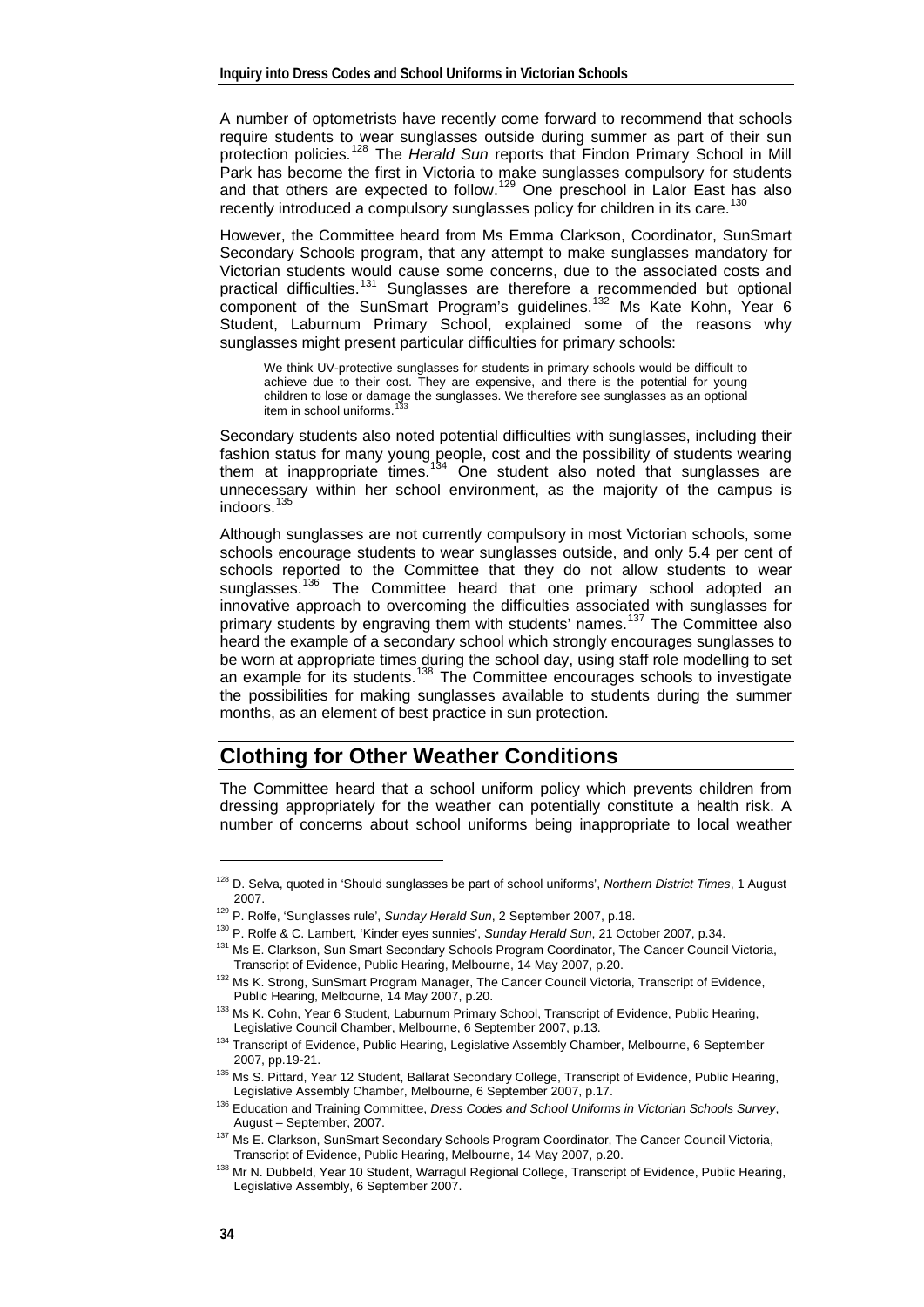A number of optometrists have recently come forward to recommend that schools require students to wear sunglasses outside during summer as part of their sun protection policies.[128](#page-7-0) The *Herald Sun* reports that Findon Primary School in Mill Park has become the first in Victoria to make sunglasses compulsory for students and that others are expected to follow.<sup>[129](#page-7-1)</sup> One preschool in Lalor East has also recently introduced a compulsory sunglasses policy for children in its care.<sup>[130](#page-7-2)</sup>

However, the Committee heard from Ms Emma Clarkson, Coordinator, SunSmart Secondary Schools program, that any attempt to make sunglasses mandatory for Victorian students would cause some concerns, due to the associated costs and practical difficulties.<sup>[131](#page-7-3)</sup> Sunglasses are therefore a recommended but optional component of the SunSmart Program's guidelines.<sup>[132](#page-7-4)</sup> Ms Kate Kohn, Year 6 Student, Laburnum Primary School, explained some of the reasons why sunglasses might present particular difficulties for primary schools:

We think UV-protective sunglasses for students in primary schools would be difficult to achieve due to their cost. They are expensive, and there is the potential for young children to lose or damage the sunglasses. We therefore see sunglasses as an optional item in school uniforms.

Secondary students also noted potential difficulties with sunglasses, including their fashion status for many young people, cost and the possibility of students wearing them at inappropriate times.<sup>[134](#page-7-6)</sup> One student also noted that sunglasses are unnecessary within her school environment, as the majority of the campus is indoors.<sup>[135](#page-7-7)</sup>

Although sunglasses are not currently compulsory in most Victorian schools, some schools encourage students to wear sunglasses outside, and only 5.4 per cent of schools reported to the Committee that they do not allow students to wear sunglasses.<sup>[136](#page-7-8)</sup> The Committee heard that one primary school adopted an innovative approach to overcoming the difficulties associated with sunglasses for primary students by engraving them with students' names.<sup>[137](#page-7-9)</sup> The Committee also heard the example of a secondary school which strongly encourages sunglasses to be worn at appropriate times during the school day, using staff role modelling to set an example for its students.<sup>[138](#page-7-10)</sup> The Committee encourages schools to investigate the possibilities for making sunglasses available to students during the summer months, as an element of best practice in sun protection.

#### **Clothing for Other Weather Conditions**

The Committee heard that a school uniform policy which prevents children from dressing appropriately for the weather can potentially constitute a health risk. A number of concerns about school uniforms being inappropriate to local weather

<span id="page-7-0"></span><sup>128</sup> D. Selva, quoted in 'Should sunglasses be part of school uniforms', *Northern District Times*, 1 August 2007.<br><sup>129</sup> P. Rolfe, 'Sunglasses rule', *Sunday Herald Sun*, 2 September 2007, p.18.<br><sup>130</sup> P. Rolfe & C. Lambert, 'Kinder eyes sunnies', *Sunday Herald Sun*, 21 October 2007, p.34.<br><sup>131</sup> Ms E. Clarkson, Sun Smart Secondar

<span id="page-7-1"></span>

<span id="page-7-3"></span><span id="page-7-2"></span>Transcript of Evidence, Public Hearing, Melbourne, 14 May 2007, p.20.<br><sup>132</sup> Ms K. Strong, SunSmart Program Manager, The Cancer Council Victoria, Transcript of Evidence,

<span id="page-7-5"></span><span id="page-7-4"></span>Public Hearing, Melbourne, 14 May 2007, p.20.<br>
<sup>133</sup> Ms K. Cohn, Year 6 Student, Laburnum Primary School, Transcript of Evidence, Public Hearing,<br>
Legislative Council Chamber, Melbourne, 6 September 2007, p.13.

<span id="page-7-6"></span><sup>&</sup>lt;sup>134</sup> Transcript of Evidence, Public Hearing, Legislative Assembly Chamber, Melbourne, 6 September 2007, pp.19-21.

<sup>&</sup>lt;sup>135</sup> Ms S. Pittard, Year 12 Student, Ballarat Secondary College, Transcript of Evidence, Public Hearing,

<span id="page-7-8"></span><span id="page-7-7"></span>Legislative Assembly Chamber, Melbourne, 6 September 2007, p.17. 136 Education and Training Committee, *Dress Codes and School Uniforms in Victorian Schools Survey*, August – September, 2007.<br><sup>137</sup> Ms E. Clarkson, SunSmart Secondary Schools Program Coordinator, The Cancer Council Victoria,

<span id="page-7-10"></span><span id="page-7-9"></span>Transcript of Evidence, Public Hearing, Melbourne, 14 May 2007, p.20.<br><sup>138</sup> Mr N. Dubbeld, Year 10 Student, Warragul Regional College, Transcript of Evidence, Public Hearing,

Legislative Assembly, 6 September 2007.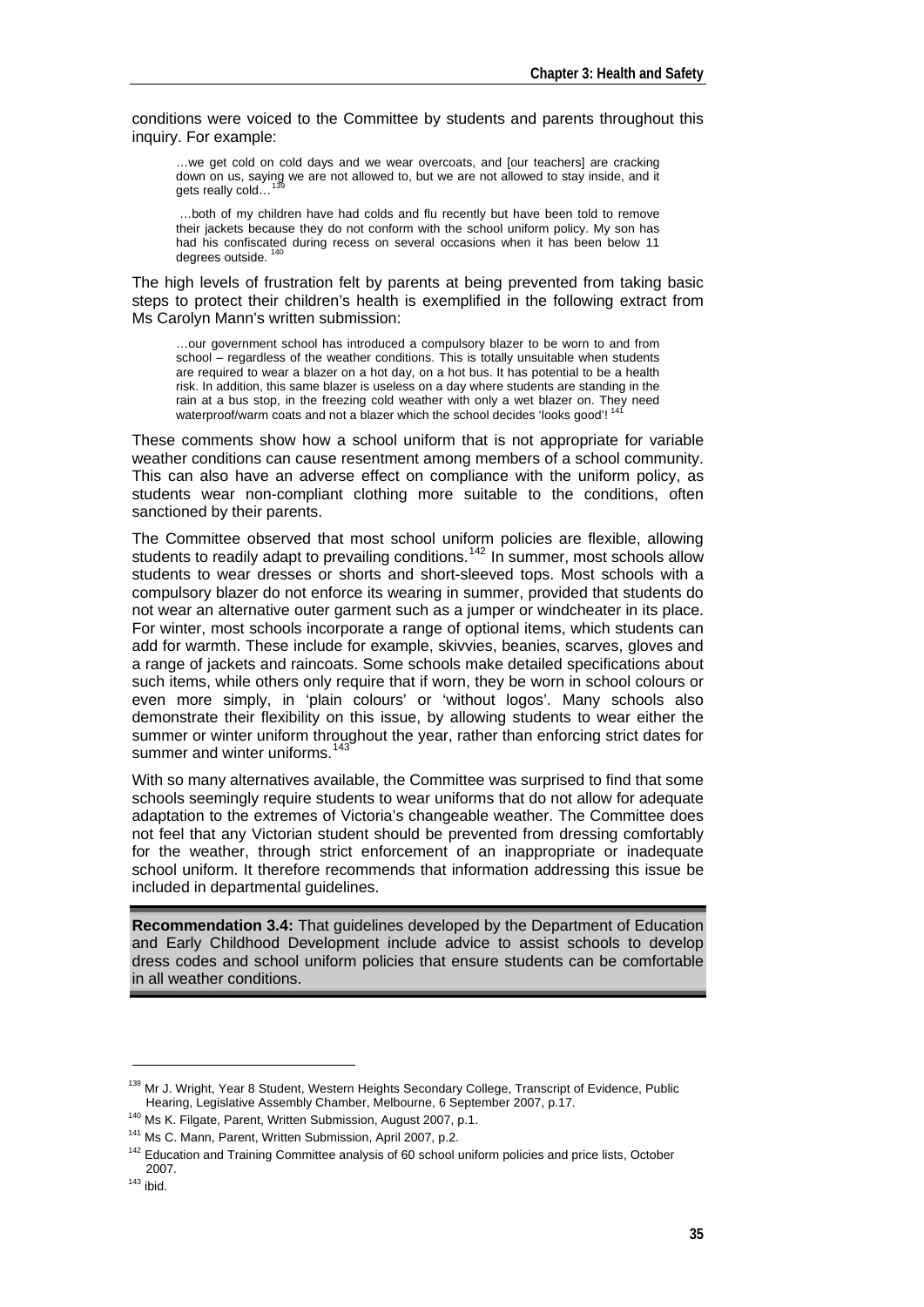conditions were voiced to the Committee by students and parents throughout this inquiry. For example:

…we get cold on cold days and we wear overcoats, and [our teachers] are cracking down on us, saying we are not allowed to, but we are not allowed to stay inside, and it gets really cold...

 …both of my children have had colds and flu recently but have been told to remove their jackets because they do not conform with the school uniform policy. My son has had his confiscated during recess on several occasions when it has been below 11 degrees outside.

The high levels of frustration felt by parents at being prevented from taking basic steps to protect their children's health is exemplified in the following extract from Ms Carolyn Mann's written submission:

…our government school has introduced a compulsory blazer to be worn to and from school – regardless of the weather conditions. This is totally unsuitable when students are required to wear a blazer on a hot day, on a hot bus. It has potential to be a health risk. In addition, this same blazer is useless on a day where students are standing in the rain at a bus stop, in the freezing cold weather with only a wet blazer on. They need waterproof/warm coats and not a blazer which the school decides 'looks good'!<sup>1</sup>

These comments show how a school uniform that is not appropriate for variable weather conditions can cause resentment among members of a school community. This can also have an adverse effect on compliance with the uniform policy, as students wear non-compliant clothing more suitable to the conditions, often sanctioned by their parents.

The Committee observed that most school uniform policies are flexible, allowing students to readily adapt to prevailing conditions.<sup>[142](#page-8-3)</sup> In summer, most schools allow students to wear dresses or shorts and short-sleeved tops. Most schools with a compulsory blazer do not enforce its wearing in summer, provided that students do not wear an alternative outer garment such as a jumper or windcheater in its place. For winter, most schools incorporate a range of optional items, which students can add for warmth. These include for example, skivvies, beanies, scarves, gloves and a range of jackets and raincoats. Some schools make detailed specifications about such items, while others only require that if worn, they be worn in school colours or even more simply, in 'plain colours' or 'without logos'. Many schools also demonstrate their flexibility on this issue, by allowing students to wear either the summer or winter uniform throughout the year, rather than enforcing strict dates for summer and winter uniforms.<sup>[143](#page-8-4)</sup>

With so many alternatives available, the Committee was surprised to find that some schools seemingly require students to wear uniforms that do not allow for adequate adaptation to the extremes of Victoria's changeable weather. The Committee does not feel that any Victorian student should be prevented from dressing comfortably for the weather, through strict enforcement of an inappropriate or inadequate school uniform. It therefore recommends that information addressing this issue be included in departmental guidelines.

**Recommendation 3.4:** That guidelines developed by the Department of Education and Early Childhood Development include advice to assist schools to develop dress codes and school uniform policies that ensure students can be comfortable in all weather conditions.

<span id="page-8-0"></span><sup>&</sup>lt;sup>139</sup> Mr J. Wright, Year 8 Student, Western Heights Secondary College, Transcript of Evidence, Public<br>Hearing, Legislative Assembly Chamber, Melbourne, 6 September 2007, p.17.

<span id="page-8-2"></span>

<span id="page-8-1"></span><sup>&</sup>lt;sup>140</sup> Ms K. Filgate, Parent, Written Submission, August 2007, p.1.<br><sup>141</sup> Ms C. Mann, Parent, Written Submission, April 2007, p.2.<br><sup>142</sup> Education and Training Committee analysis of 60 school uniform policies and price lis 2007. 143 ibid.

<span id="page-8-4"></span><span id="page-8-3"></span>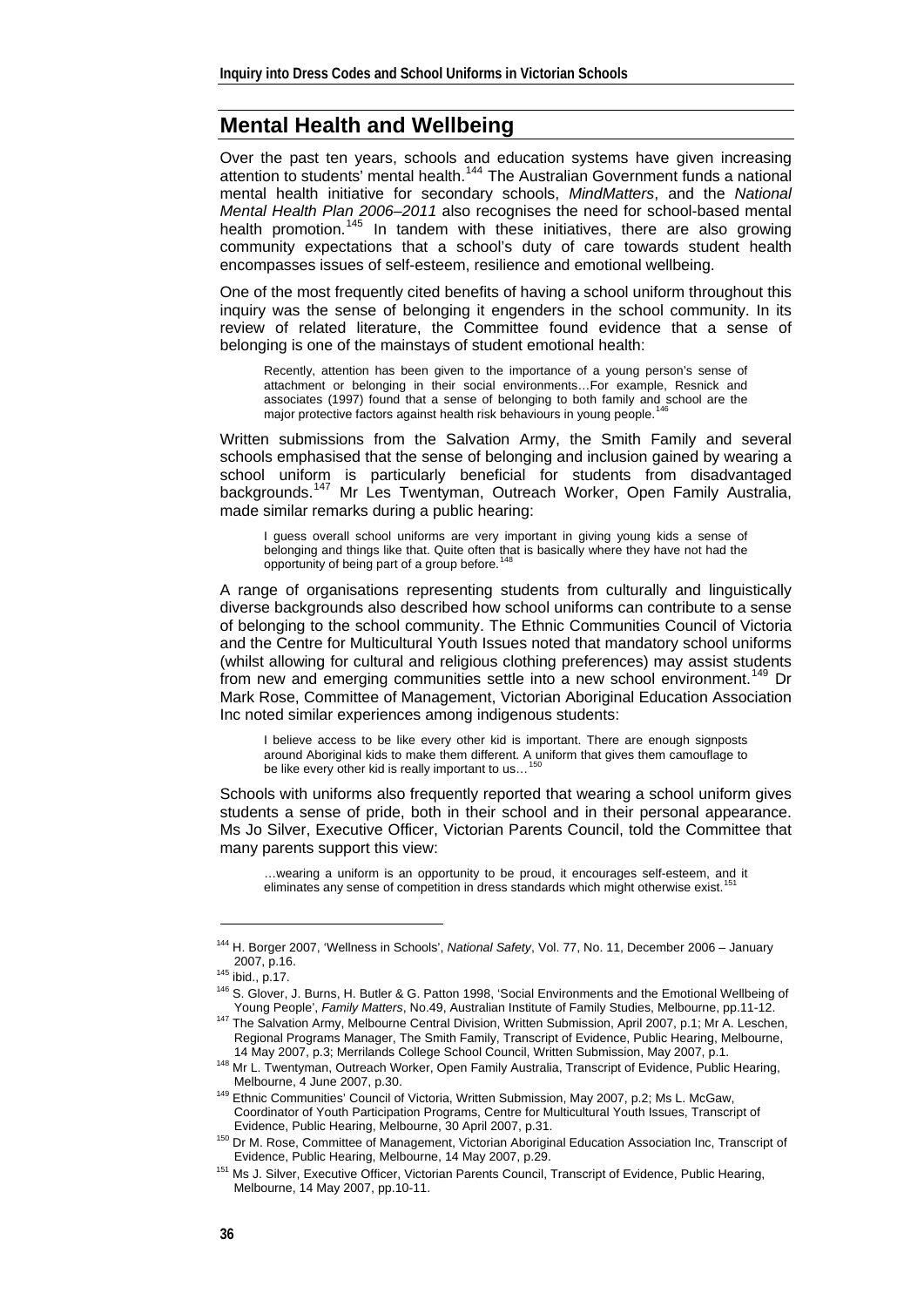## **Mental Health and Wellbeing**

Over the past ten years, schools and education systems have given increasing attention to students' mental health.<sup>[144](#page-9-0)</sup> The Australian Government funds a national mental health initiative for secondary schools, *MindMatters*, and the *National Mental Health Plan 2006–2011* also recognises the need for school-based mental health promotion.<sup>[145](#page-9-1)</sup> In tandem with these initiatives, there are also growing community expectations that a school's duty of care towards student health encompasses issues of self-esteem, resilience and emotional wellbeing.

One of the most frequently cited benefits of having a school uniform throughout this inquiry was the sense of belonging it engenders in the school community. In its review of related literature, the Committee found evidence that a sense of belonging is one of the mainstays of student emotional health:

Recently, attention has been given to the importance of a young person's sense of attachment or belonging in their social environments…For example, Resnick and associates (1997) found that a sense of belonging to both family and school are the major protective factors against health risk behaviours in young people.<sup>1</sup>

Written submissions from the Salvation Army, the Smith Family and several schools emphasised that the sense of belonging and inclusion gained by wearing a school uniform is particularly beneficial for students from disadvantaged backgrounds.<sup>[147](#page-9-3)</sup> Mr Les Twentyman, Outreach Worker, Open Family Australia, made similar remarks during a public hearing:

I guess overall school uniforms are very important in giving young kids a sense of belonging and things like that. Quite often that is basically where they have not had the opportunity of being part of a group before.[148](#page-9-4)

A range of organisations representing students from culturally and linguistically diverse backgrounds also described how school uniforms can contribute to a sense of belonging to the school community. The Ethnic Communities Council of Victoria and the Centre for Multicultural Youth Issues noted that mandatory school uniforms (whilst allowing for cultural and religious clothing preferences) may assist students from new and emerging communities settle into a new school environment.<sup>[149](#page-9-5)</sup> Dr Mark Rose, Committee of Management, Victorian Aboriginal Education Association Inc noted similar experiences among indigenous students:

I believe access to be like every other kid is important. There are enough signposts around Aboriginal kids to make them different. A uniform that gives them camouflage to be like every other kid is really important to us...

Schools with uniforms also frequently reported that wearing a school uniform gives students a sense of pride, both in their school and in their personal appearance. Ms Jo Silver, Executive Officer, Victorian Parents Council, told the Committee that many parents support this view:

…wearing a uniform is an opportunity to be proud, it encourages self-esteem, and it eliminates any sense of competition in dress standards which might otherwise exist.<sup>1</sup>

<span id="page-9-0"></span><sup>144</sup> H. Borger 2007, 'Wellness in Schools', *National Safety*, Vol. 77, No. 11, December 2006 – January

<span id="page-9-1"></span><sup>2007,</sup> p.16.<br><sup>145</sup> ibid., p.17.<br><sup>146</sup> S. Glover, J. Burns, H. Butler & G. Patton 1998, 'Social Environments and the Emotional Wellbeing of<br>Young People', *Family Matters*, No.49, Australian Institute of Family Studies, Melb

<span id="page-9-3"></span><span id="page-9-2"></span><sup>&</sup>lt;sup>147</sup> The Salvation Army, Melbourne Central Division, Written Submission, April 2007, p.1; Mr A. Leschen, Regional Programs Manager, The Smith Family, Transcript of Evidence, Public Hearing, Melbourne,

<span id="page-9-4"></span><sup>14</sup> May 2007, p.3; Merrilands College School Council, Written Submission, May 2007, p.1.<br><sup>148</sup> Mr L. Twentyman, Outreach Worker, Open Family Australia, Transcript of Evidence, Public Hearing,<br>Melbourne, 4 June 2007, p.30.

<span id="page-9-5"></span><sup>149</sup> Ethnic Communities' Council of Victoria, Written Submission, May 2007, p.2; Ms L. McGaw, Coordinator of Youth Participation Programs, Centre for Multicultural Youth Issues, Transcript of Evidence, Public Hearing, Melbourne, 30 April 2007, p.31. 150 Dr M. Rose, Committee of Management, Victorian Aboriginal Education Association Inc, Transcript of

<span id="page-9-7"></span><span id="page-9-6"></span>Evidence, Public Hearing, Melbourne, 14 May 2007, p.29.<br><sup>151</sup> Ms J. Silver, Executive Officer, Victorian Parents Council, Transcript of Evidence, Public Hearing, Melbourne, 14 May 2007, pp.10-11.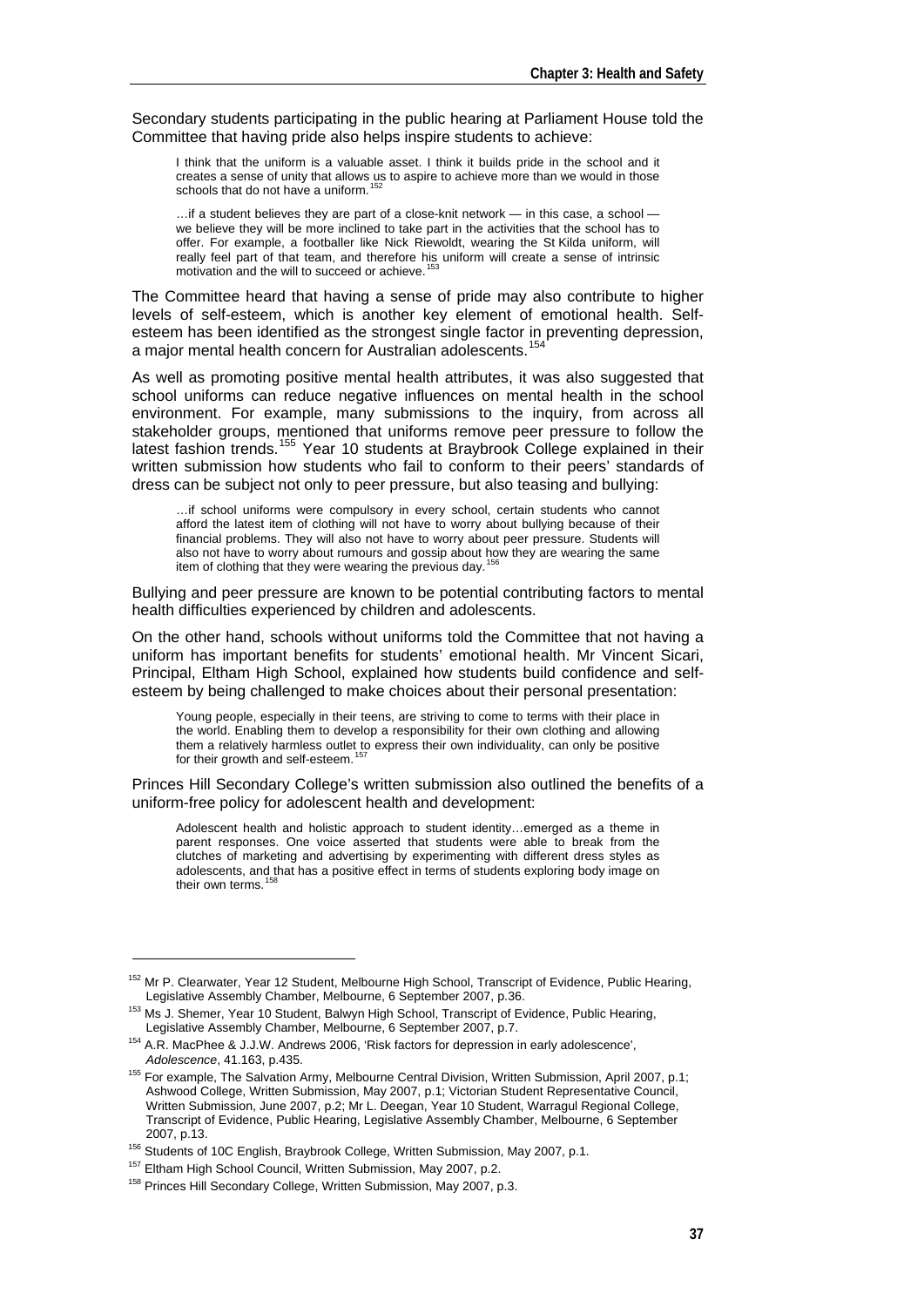Secondary students participating in the public hearing at Parliament House told the Committee that having pride also helps inspire students to achieve:

I think that the uniform is a valuable asset. I think it builds pride in the school and it creates a sense of unity that allows us to aspire to achieve more than we would in those schools that do not have a uniform.

…if a student believes they are part of a close-knit network — in this case, a school we believe they will be more inclined to take part in the activities that the school has to offer. For example, a footballer like Nick Riewoldt, wearing the St Kilda uniform, will really feel part of that team, and therefore his uniform will create a sense of intrinsic motivation and the will to succeed or achieve.<sup>[153](#page-10-1)</sup>

The Committee heard that having a sense of pride may also contribute to higher levels of self-esteem, which is another key element of emotional health. Selfesteem has been identified as the strongest single factor in preventing depression, a major mental health concern for Australian adolescents.<sup>15</sup>

As well as promoting positive mental health attributes, it was also suggested that school uniforms can reduce negative influences on mental health in the school environment. For example, many submissions to the inquiry, from across all stakeholder groups, mentioned that uniforms remove peer pressure to follow the latest fashion trends.[155](#page-10-3) Year 10 students at Braybrook College explained in their written submission how students who fail to conform to their peers' standards of dress can be subject not only to peer pressure, but also teasing and bullying:

…if school uniforms were compulsory in every school, certain students who cannot afford the latest item of clothing will not have to worry about bullying because of their financial problems. They will also not have to worry about peer pressure. Students will also not have to worry about rumours and gossip about how they are wearing the same item of clothing that they were wearing the previous day.<sup>1</sup>

Bullying and peer pressure are known to be potential contributing factors to mental health difficulties experienced by children and adolescents.

On the other hand, schools without uniforms told the Committee that not having a uniform has important benefits for students' emotional health. Mr Vincent Sicari, Principal, Eltham High School, explained how students build confidence and selfesteem by being challenged to make choices about their personal presentation:

Young people, especially in their teens, are striving to come to terms with their place in the world. Enabling them to develop a responsibility for their own clothing and allowing them a relatively harmless outlet to express their own individuality, can only be positive for their growth and self-esteem.<sup>15</sup>

Princes Hill Secondary College's written submission also outlined the benefits of a uniform-free policy for adolescent health and development:

Adolescent health and holistic approach to student identity…emerged as a theme in parent responses. One voice asserted that students were able to break from the clutches of marketing and advertising by experimenting with different dress styles as adolescents, and that has a positive effect in terms of students exploring body image on their own terms.<sup>[158](#page-10-6)</sup>

<span id="page-10-0"></span><sup>152</sup> Mr P. Clearwater, Year 12 Student, Melbourne High School, Transcript of Evidence, Public Hearing,

<span id="page-10-1"></span>Legislative Assembly Chamber, Melbourne, 6 September 2007, p.36.<br>
<sup>153</sup> Ms J. Shemer, Year 10 Student, Balwyn High School, Transcript of Evidence, Public Hearing,<br>
Legislative Assembly Chamber, Melbourne, 6 September 2007,

<span id="page-10-2"></span><sup>&</sup>lt;sup>154</sup> A.R. MacPhee & J.J.W. Andrews 2006, 'Risk factors for depression in early adolescence',<br>Adolescence. 41.163. p.435.

<span id="page-10-3"></span><sup>&</sup>lt;sup>155</sup> For example. The Salvation Army, Melbourne Central Division, Written Submission, April 2007, p.1; Ashwood College, Written Submission, May 2007, p.1; Victorian Student Representative Council, Written Submission, June 2007, p.2; Mr L. Deegan, Year 10 Student, Warragul Regional College, Transcript of Evidence, Public Hearing, Legislative Assembly Chamber, Melbourne, 6 September

<span id="page-10-4"></span><sup>2007,</sup> p.13.<br><sup>156</sup> Students of 10C English, Braybrook College, Written Submission, May 2007, p.1.<br><sup>157</sup> Eltham High School Council, Written Submission, May 2007, p.2.<br><sup>158</sup> Princes Hill Secondary College. Written Submission

<span id="page-10-6"></span><span id="page-10-5"></span>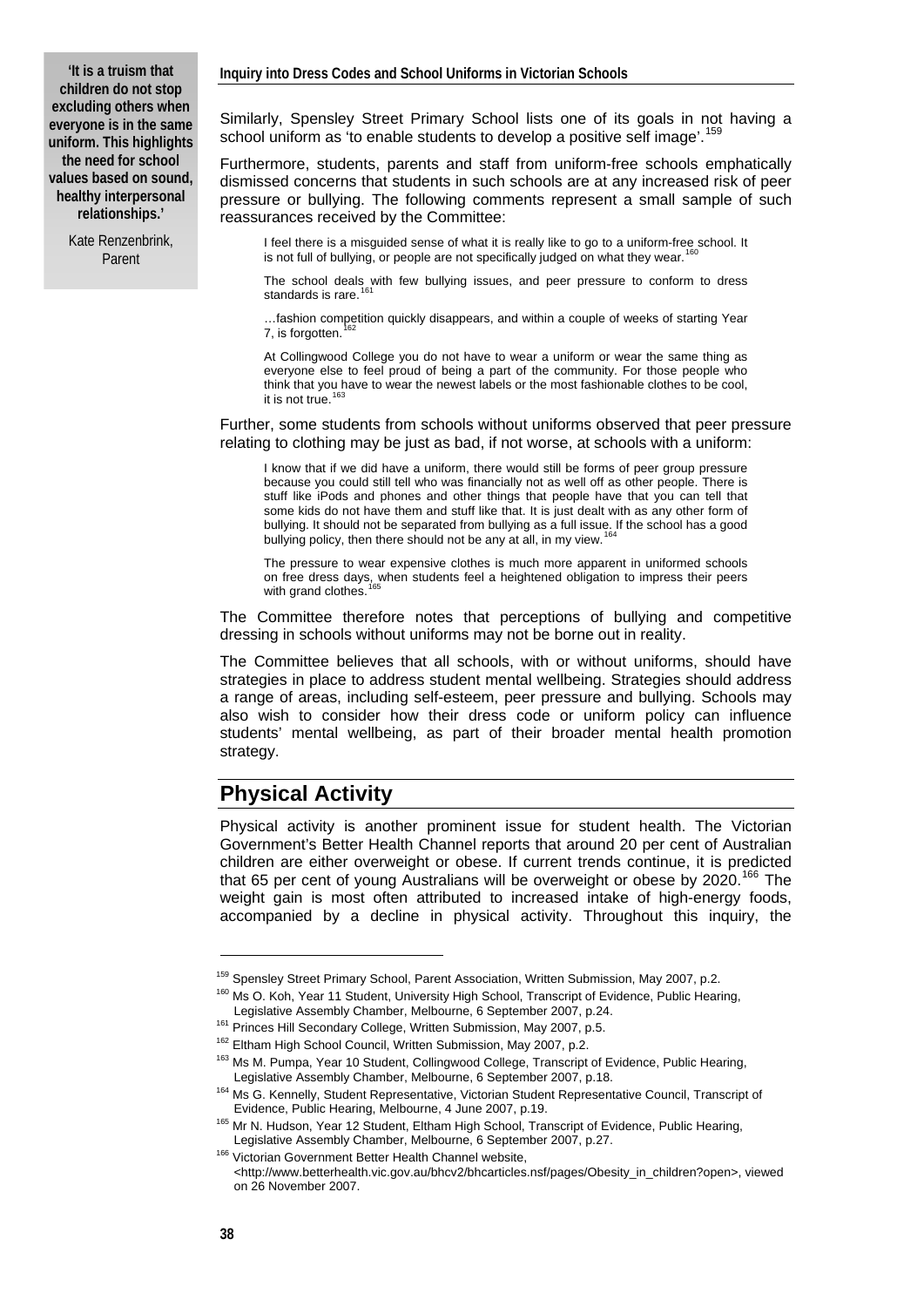Kate Renzenbrink, Parent

Similarly, Spensley Street Primary School lists one of its goals in not having a school uniform as 'to enable students to develop a positive self image'.<sup>[159](#page-11-0)</sup>

Furthermore, students, parents and staff from uniform-free schools emphatically dismissed concerns that students in such schools are at any increased risk of peer pressure or bullying. The following comments represent a small sample of such reassurances received by the Committee:

I feel there is a misguided sense of what it is really like to go to a uniform-free school. It is not full of bullying, or people are not specifically judged on what they wear.

The school deals with few bullying issues, and peer pressure to conform to dress<br>standards is rare.<sup>[161](#page-11-2)</sup>

…fashion competition quickly disappears, and within a couple of weeks of starting Year 7, is forgotten.

At Collingwood College you do not have to wear a uniform or wear the same thing as everyone else to feel proud of being a part of the community. For those people who think that you have to wear the newest labels or the most fashionable clothes to be cool, it is not true.

Further, some students from schools without uniforms observed that peer pressure relating to clothing may be just as bad, if not worse, at schools with a uniform:

I know that if we did have a uniform, there would still be forms of peer group pressure because you could still tell who was financially not as well off as other people. There is stuff like iPods and phones and other things that people have that you can tell that some kids do not have them and stuff like that. It is just dealt with as any other form of bullying. It should not be separated from bullying as a full issue. If the school has a good bullying policy, then there should not be any at all, in my view.

The pressure to wear expensive clothes is much more apparent in uniformed schools on free dress days, when students feel a heightened obligation to impress their peers with grand clothes.

The Committee therefore notes that perceptions of bullying and competitive dressing in schools without uniforms may not be borne out in reality.

The Committee believes that all schools, with or without uniforms, should have strategies in place to address student mental wellbeing. Strategies should address a range of areas, including self-esteem, peer pressure and bullying. Schools may also wish to consider how their dress code or uniform policy can influence students' mental wellbeing, as part of their broader mental health promotion strategy.

### **Physical Activity**

Physical activity is another prominent issue for student health. The Victorian Government's Better Health Channel reports that around 20 per cent of Australian children are either overweight or obese. If current trends continue, it is predicted that 65 per cent of young Australians will be overweight or obese by  $2020$ .<sup>[166](#page-11-7)</sup> The weight gain is most often attributed to increased intake of high-energy foods, accompanied by a decline in physical activity. Throughout this inquiry, the

<span id="page-11-0"></span><sup>&</sup>lt;sup>159</sup> Spensley Street Primary School, Parent Association, Written Submission, May 2007, p.2.<br><sup>160</sup> Ms O. Koh, Year 11 Student, University High School, Transcript of Evidence, Public Hearing,<br>Legislative Assembly Chamber, M

<span id="page-11-3"></span><span id="page-11-2"></span><span id="page-11-1"></span><sup>&</sup>lt;sup>161</sup> Princes Hill Secondary College, Written Submission, May 2007, p.5.<br><sup>162</sup> Eltham High School Council, Written Submission, May 2007, p.2.<br><sup>162</sup> Ms M. Pumpa, Year 10 Student, Collingwood College, Transcript of Evidence,

<span id="page-11-5"></span><span id="page-11-4"></span><sup>164</sup> Ms G. Kennelly, Student Representative, Victorian Student Representative Council, Transcript of

Evidence, Public Hearing, Melbourne, 4 June 2007, p.19.<br><sup>165</sup> Mr N. Hudson, Year 12 Student, Eltham High School, Transcript of Evidence, Public Hearing,

<span id="page-11-7"></span><span id="page-11-6"></span>Legislative Assembly Chamber, Melbourne, 6 September 2007, p.27.<br><sup>166</sup> Victorian Government Better Health Channel website, <http://www.betterhealth.vic.gov.au/bhcv2/bhcarticles.nsf/pages/Obesity\_in\_children?open>, viewed on 26 November 2007.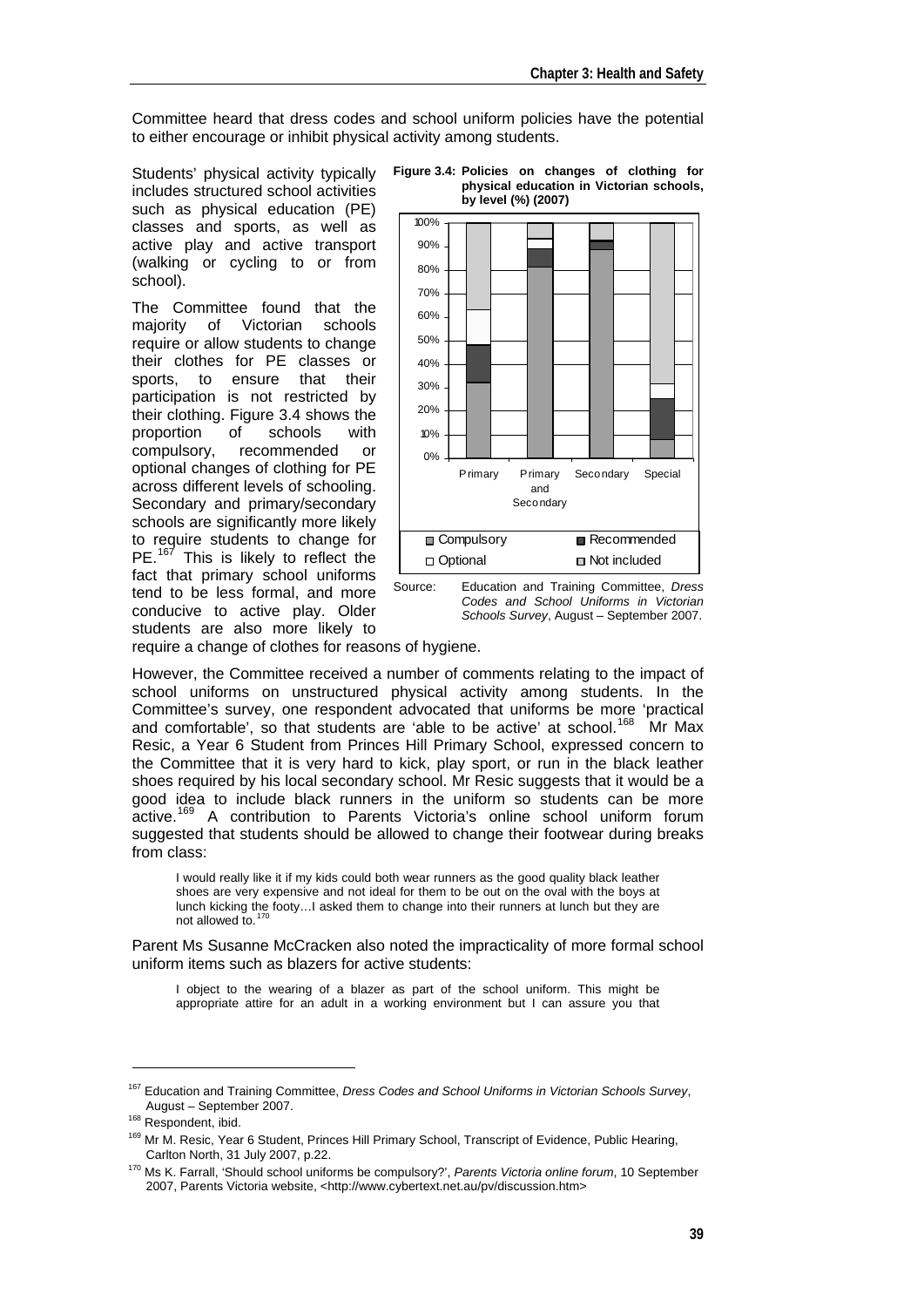Committee heard that dress codes and school uniform policies have the potential to either encourage or inhibit physical activity among students.

Students' physical activity typically includes structured school activities such as physical education (PE) classes and sports, as well as active play and active transport (walking or cycling to or from school).

The Committee found that the majority of Victorian schools require or allow students to change their clothes for PE classes or sports, to ensure that their participation is not restricted by their clothing. Figure 3.4 shows the proportion of schools with compulsory, recommended or optional changes of clothing for PE across different levels of schooling. Secondary and primary/secondary schools are significantly more likely to require students to change for PE.<sup>[167](#page-12-0)</sup> This is likely to reflect the fact that primary school uniforms tend to be less formal, and more conducive to active play. Older students are also more likely to



**Figure 3.4: Policies on changes of clothing for physical education in Victorian schools, by level (%) (2007)** 

Source: Education and Training Committee, *Dress Codes and School Uniforms in Victorian Schools Survey*, August – September 2007.

require a change of clothes for reasons of hygiene.

However, the Committee received a number of comments relating to the impact of school uniforms on unstructured physical activity among students. In the Committee's survey, one respondent advocated that uniforms be more 'practical and comfortable', so that students are 'able to be active' at school.<sup>[168](#page-12-1)</sup> Mr Max Resic, a Year 6 Student from Princes Hill Primary School, expressed concern to the Committee that it is very hard to kick, play sport, or run in the black leather shoes required by his local secondary school. Mr Resic suggests that it would be a good idea to include black runners in the uniform so students can be more active.<sup>[169](#page-12-2)</sup> A contribution to Parents Victoria's online school uniform forum suggested that students should be allowed to change their footwear during breaks from class:

I would really like it if my kids could both wear runners as the good quality black leather shoes are very expensive and not ideal for them to be out on the oval with the boys at lunch kicking the footy…I asked them to change into their runners at lunch but they are not allowed to.<sup>[170](#page-12-3)</sup>

Parent Ms Susanne McCracken also noted the impracticality of more formal school uniform items such as blazers for active students:

I object to the wearing of a blazer as part of the school uniform. This might be appropriate attire for an adult in a working environment but I can assure you that

<sup>167</sup> Education and Training Committee, *Dress Codes and School Uniforms in Victorian Schools Survey*,

<span id="page-12-1"></span>

<span id="page-12-0"></span>August – September 2007.<br>
<sup>168</sup> Respondent, ibid.<br>
<sup>169</sup> Mr M. Resic, Year 6 Student, Princes Hill Primary School, Transcript of Evidence, Public Hearing,<br>
Carlton North, 31 July 2007, p.22.

<span id="page-12-3"></span><span id="page-12-2"></span><sup>&</sup>lt;sup>170</sup> Ms K. Farrall, 'Should school uniforms be compulsory?', Parents Victoria online forum, 10 September 2007, Parents Victoria website, <http://www.cybertext.net.au/pv/discussion.htm>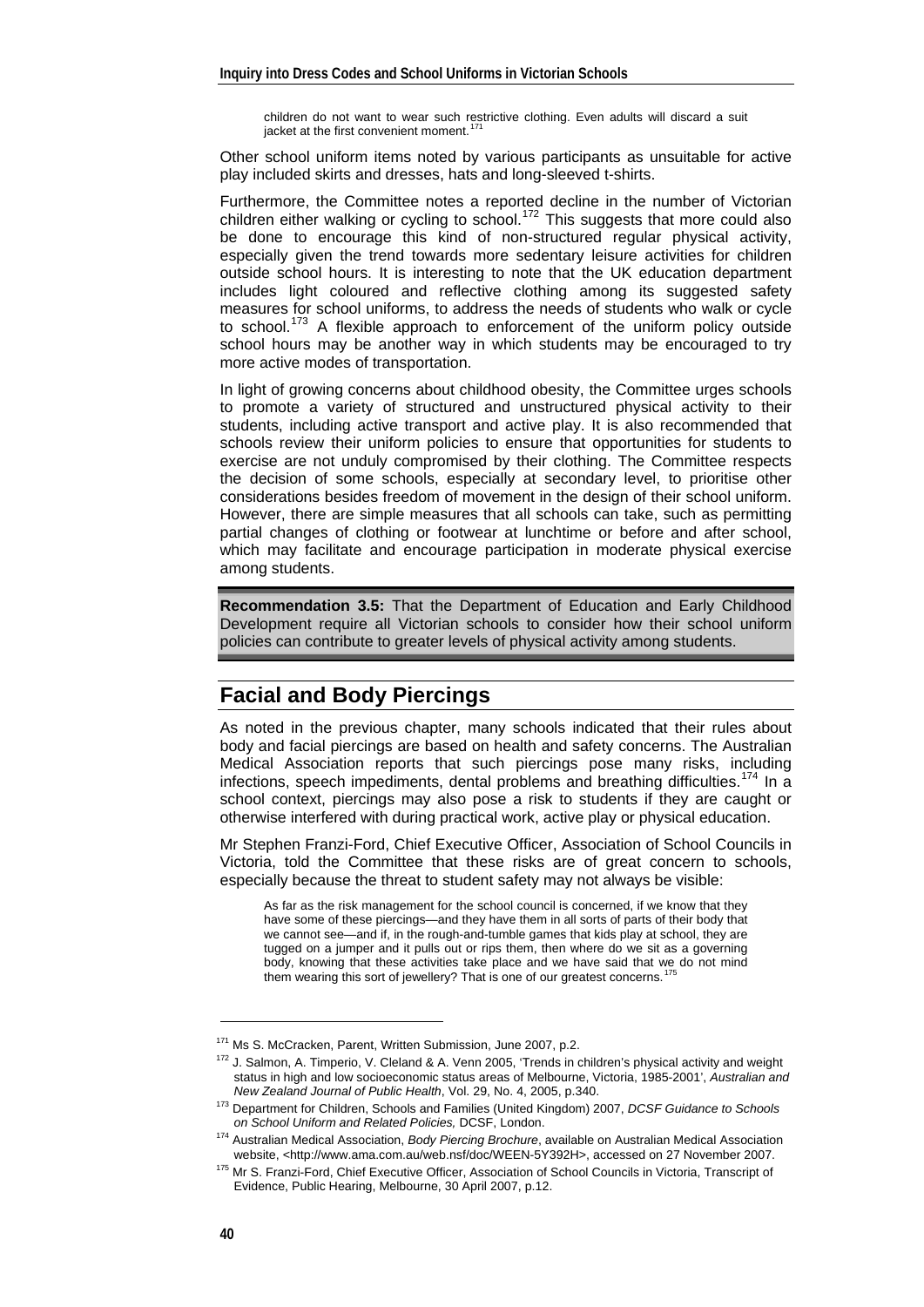children do not want to wear such restrictive clothing. Even adults will discard a suit jacket at the first convenient moment.<sup>1</sup>

Other school uniform items noted by various participants as unsuitable for active play included skirts and dresses, hats and long-sleeved t-shirts.

Furthermore, the Committee notes a reported decline in the number of Victorian children either walking or cycling to school.<sup>[172](#page-13-1)</sup> This suggests that more could also be done to encourage this kind of non-structured regular physical activity, especially given the trend towards more sedentary leisure activities for children outside school hours. It is interesting to note that the UK education department includes light coloured and reflective clothing among its suggested safety measures for school uniforms, to address the needs of students who walk or cycle to school.<sup>[173](#page-13-2)</sup> A flexible approach to enforcement of the uniform policy outside school hours may be another way in which students may be encouraged to try more active modes of transportation.

In light of growing concerns about childhood obesity, the Committee urges schools to promote a variety of structured and unstructured physical activity to their students, including active transport and active play. It is also recommended that schools review their uniform policies to ensure that opportunities for students to exercise are not unduly compromised by their clothing. The Committee respects the decision of some schools, especially at secondary level, to prioritise other considerations besides freedom of movement in the design of their school uniform. However, there are simple measures that all schools can take, such as permitting partial changes of clothing or footwear at lunchtime or before and after school, which may facilitate and encourage participation in moderate physical exercise among students.

**Recommendation 3.5:** That the Department of Education and Early Childhood Development require all Victorian schools to consider how their school uniform policies can contribute to greater levels of physical activity among students.

## **Facial and Body Piercings**

As noted in the previous chapter, many schools indicated that their rules about body and facial piercings are based on health and safety concerns. The Australian Medical Association reports that such piercings pose many risks, including infections, speech impediments, dental problems and breathing difficulties.<sup>[174](#page-13-3)</sup> In a school context, piercings may also pose a risk to students if they are caught or otherwise interfered with during practical work, active play or physical education.

Mr Stephen Franzi-Ford, Chief Executive Officer, Association of School Councils in Victoria, told the Committee that these risks are of great concern to schools, especially because the threat to student safety may not always be visible:

As far as the risk management for the school council is concerned, if we know that they have some of these piercings—and they have them in all sorts of parts of their body that we cannot see—and if, in the rough-and-tumble games that kids play at school, they are tugged on a jumper and it pulls out or rips them, then where do we sit as a governing body, knowing that these activities take place and we have said that we do not mind them wearing this sort of jewellery? That is one of our greatest concerns.<sup>1</sup>

<span id="page-13-1"></span><span id="page-13-0"></span><sup>&</sup>lt;sup>171</sup> Ms S. McCracken, Parent, Written Submission, June 2007, p.2.<br><sup>172</sup> J. Salmon, A. Timperio, V. Cleland & A. Venn 2005, 'Trends in children's physical activity and weight status in high and low socioeconomic status areas of Melbourne, Victoria, 1985-2001', *Australian and* 

*New Zealand Journal of Public Health*, Vol. 29, No. 4, 2005, p.340. 173 Department for Children, Schools and Families (United Kingdom) 2007, *DCSF Guidance to Schools* 

<span id="page-13-3"></span><span id="page-13-2"></span>*on School Uniform and Related Policies,* DCSF, London. 174 Australian Medical Association, *Body Piercing Brochure*, available on Australian Medical Association

<span id="page-13-4"></span><sup>&</sup>lt;sup>175</sup> Mr S. Franzi-Ford, Chief Executive Officer, Association of School Councils in Victoria, Transcript of Evidence, Public Hearing, Melbourne, 30 April 2007, p.12.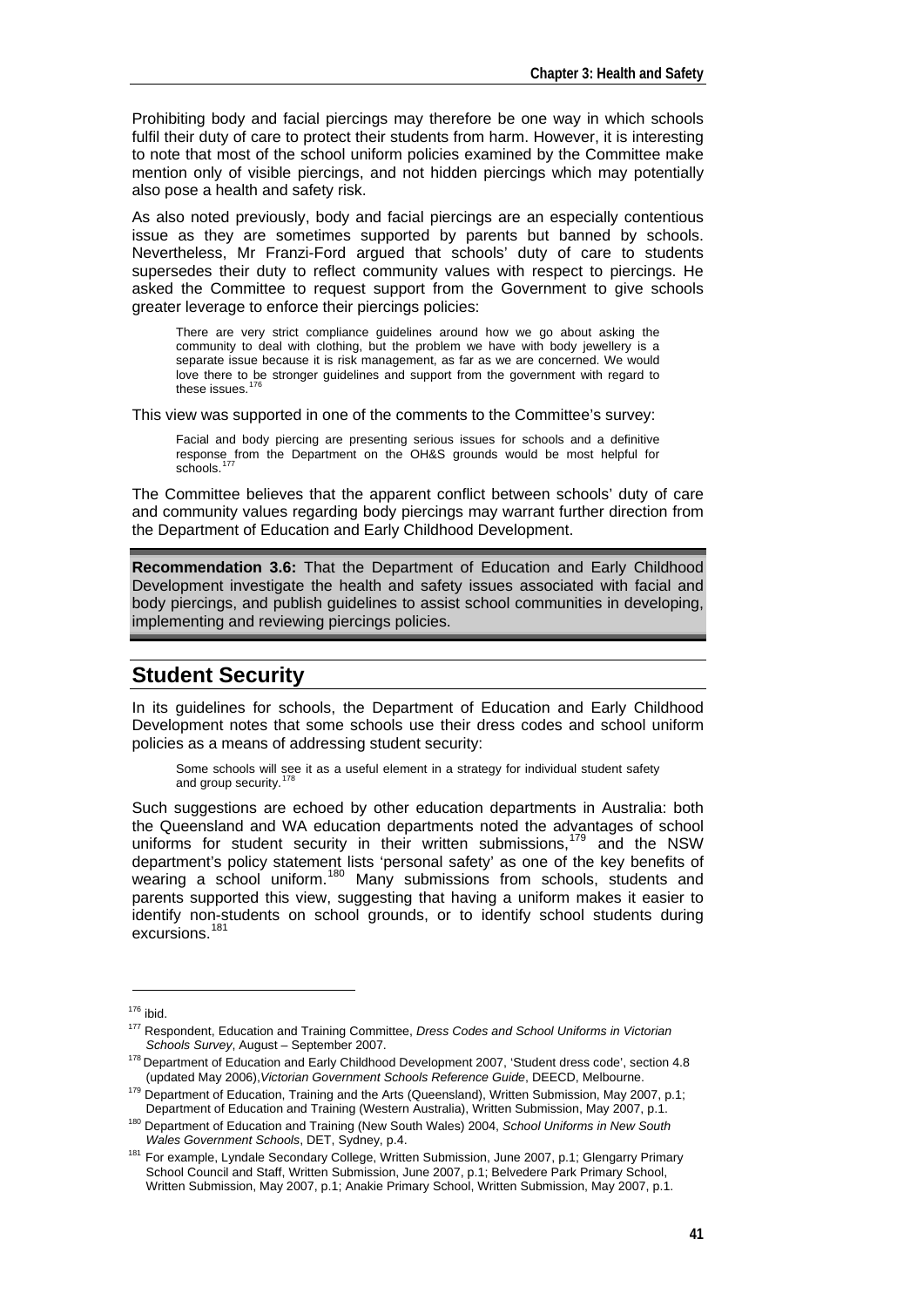Prohibiting body and facial piercings may therefore be one way in which schools fulfil their duty of care to protect their students from harm. However, it is interesting to note that most of the school uniform policies examined by the Committee make mention only of visible piercings, and not hidden piercings which may potentially also pose a health and safety risk.

As also noted previously, body and facial piercings are an especially contentious issue as they are sometimes supported by parents but banned by schools. Nevertheless, Mr Franzi-Ford argued that schools' duty of care to students supersedes their duty to reflect community values with respect to piercings. He asked the Committee to request support from the Government to give schools greater leverage to enforce their piercings policies:

There are very strict compliance guidelines around how we go about asking the community to deal with clothing, but the problem we have with body jewellery is a separate issue because it is risk management, as far as we are concerned. We would love there to be stronger guidelines and support from the government with regard to these issues.<sup>[176](#page-14-0)</sup>

This view was supported in one of the comments to the Committee's survey:

Facial and body piercing are presenting serious issues for schools and a definitive response from the Department on the OH&S grounds would be most helpful for<br>schools.<sup>[177](#page-14-1)</sup>

The Committee believes that the apparent conflict between schools' duty of care and community values regarding body piercings may warrant further direction from the Department of Education and Early Childhood Development.

**Recommendation 3.6:** That the Department of Education and Early Childhood Development investigate the health and safety issues associated with facial and body piercings, and publish guidelines to assist school communities in developing, implementing and reviewing piercings policies.

## **Student Security**

In its guidelines for schools, the Department of Education and Early Childhood Development notes that some schools use their dress codes and school uniform policies as a means of addressing student security:

Some schools will see it as a useful element in a strategy for individual student safety and group security.<sup>[178](#page-14-2)</sup>

Such suggestions are echoed by other education departments in Australia: both the Queensland and WA education departments noted the advantages of school uniforms for student security in their written submissions,  $179$  and the NSW department's policy statement lists 'personal safety' as one of the key benefits of wearing a school uniform.<sup>[180](#page-14-4)</sup> Many submissions from schools, students and parents supported this view, suggesting that having a uniform makes it easier to identify non-students on school grounds, or to identify school students during excursions.<sup>[181](#page-14-5)</sup>

<span id="page-14-0"></span><sup>&</sup>lt;sup>176</sup> ibid.<br><sup>177</sup> Respondent, Education and Training Committee, *Dress Codes and School Uniforms in Victorian*<br>*Schools Survey*, August – September 2007.

<span id="page-14-2"></span><span id="page-14-1"></span><sup>&</sup>lt;sup>178</sup> Department of Education and Early Childhood Development 2007, 'Student dress code', section 4.8 (updated May 2006),*Victorian Government Schools Reference Guide*, DEECD, Melbourne.

<span id="page-14-3"></span><sup>&</sup>lt;sup>179</sup> Department of Education, Training and the Arts (Queensland), Written Submission, May 2007, p.1;<br>Department of Education and Training (Western Australia), Written Submission, May 2007, p.1.

<sup>&</sup>lt;sup>180</sup> Department of Education and Training (New South Wales) 2004, School Uniforms in New South

<span id="page-14-5"></span><span id="page-14-4"></span>*Wales Government Schools*, DET, Sydney, p.4.<br><sup>181</sup> For example, Lyndale Secondary College, Written Submission, June 2007, p.1; Glengarry Primary School Council and Staff, Written Submission, June 2007, p.1; Belvedere Park Primary School, Written Submission, May 2007, p.1; Anakie Primary School, Written Submission, May 2007, p.1.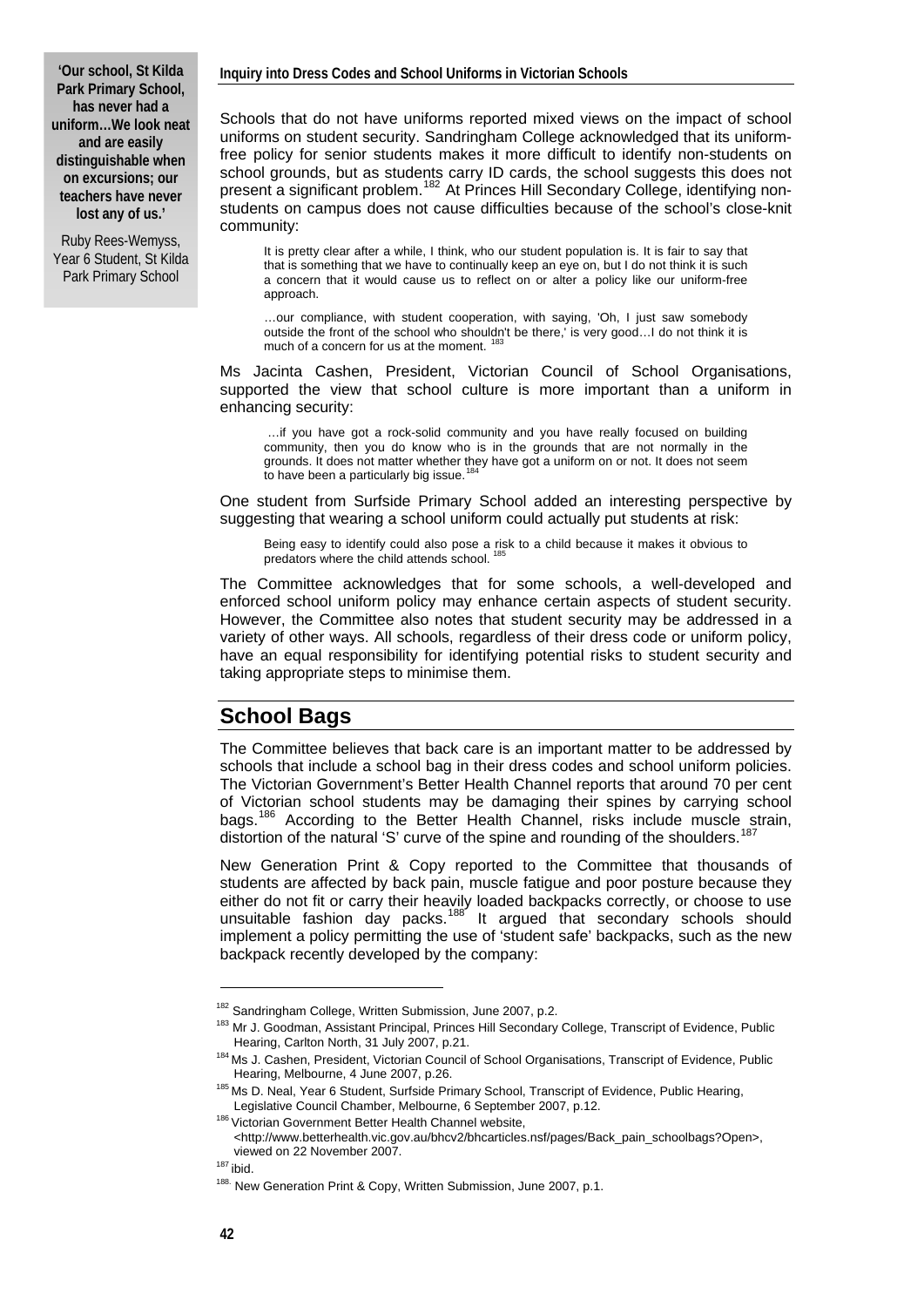**'Our school, St Kilda Park Primary School, has never had a uniform…We look neat and are easily distinguishable when on excursions; our teachers have never lost any of us.'** 

Ruby Rees-Wemyss, Year 6 Student, St Kilda Park Primary School

Schools that do not have uniforms reported mixed views on the impact of school uniforms on student security. Sandringham College acknowledged that its uniformfree policy for senior students makes it more difficult to identify non-students on school grounds, but as students carry ID cards, the school suggests this does not present a significant problem.<sup>[182](#page-15-0)</sup> At Princes Hill Secondary College, identifying nonstudents on campus does not cause difficulties because of the school's close-knit community:

It is pretty clear after a while, I think, who our student population is. It is fair to say that that is something that we have to continually keep an eye on, but I do not think it is such a concern that it would cause us to reflect on or alter a policy like our uniform-free approach.

…our compliance, with student cooperation, with saying, 'Oh, I just saw somebody outside the front of the school who shouldn't be there,' is very good…I do not think it is much of a concern for us at the moment.<sup>[183](#page-15-1)</sup>

Ms Jacinta Cashen, President, Victorian Council of School Organisations, supported the view that school culture is more important than a uniform in enhancing security:

 …if you have got a rock-solid community and you have really focused on building community, then you do know who is in the grounds that are not normally in the grounds. It does not matter whether they have got a uniform on or not. It does not seem to have been a particularly big issue.<sup>[184](#page-15-2)</sup>

One student from Surfside Primary School added an interesting perspective by suggesting that wearing a school uniform could actually put students at risk:

Being easy to identify could also pose a risk to a child because it makes it obvious to predators where the child attends school.

The Committee acknowledges that for some schools, a well-developed and enforced school uniform policy may enhance certain aspects of student security. However, the Committee also notes that student security may be addressed in a variety of other ways. All schools, regardless of their dress code or uniform policy, have an equal responsibility for identifying potential risks to student security and taking appropriate steps to minimise them.

#### **School Bags**

The Committee believes that back care is an important matter to be addressed by schools that include a school bag in their dress codes and school uniform policies. The Victorian Government's Better Health Channel reports that around 70 per cent of Victorian school students may be damaging their spines by carrying school bags.<sup>[186](#page-15-4)</sup> According to the Better Health Channel, risks include muscle strain, distortion of the natural 'S' curve of the spine and rounding of the shoulders.

New Generation Print & Copy reported to the Committee that thousands of students are affected by back pain, muscle fatigue and poor posture because they either do not fit or carry their heavily loaded backpacks correctly, or choose to use unsuitable fashion day packs.<sup>[188](#page-15-6)</sup> It argued that secondary schools should implement a policy permitting the use of 'student safe' backpacks, such as the new backpack recently developed by the company:

<span id="page-15-1"></span><span id="page-15-0"></span><sup>&</sup>lt;sup>182</sup> Sandringham College, Written Submission, June 2007, p.2.<br><sup>183</sup> Mr J. Goodman, Assistant Principal, Princes Hill Secondary College, Transcript of Evidence, Public<br>Hearing, Carlton North, 31 July 2007, p.21.

<span id="page-15-2"></span><sup>&</sup>lt;sup>184</sup> Ms J. Cashen, President, Victorian Council of School Organisations, Transcript of Evidence, Public

<span id="page-15-3"></span>Hearing, Melbourne, 4 June 2007, p.26.<br><sup>185</sup> Ms D. Neal, Year 6 Student, Surfside Primary School, Transcript of Evidence, Public Hearing, Legislative Council Chamber, Melbourne, 6 September 2007, p.12.<br><sup>186</sup> Victorian Government Better Health Channel website,

<span id="page-15-4"></span><sup>&</sup>lt;http://www.betterhealth.vic.gov.au/bhcv2/bhcarticles.nsf/pages/Back\_pain\_schoolbags?Open>, viewed on 22 November 2007.<br><sup>187</sup> ibid.

<span id="page-15-6"></span><span id="page-15-5"></span>

<sup>188.</sup> New Generation Print & Copy, Written Submission, June 2007, p.1.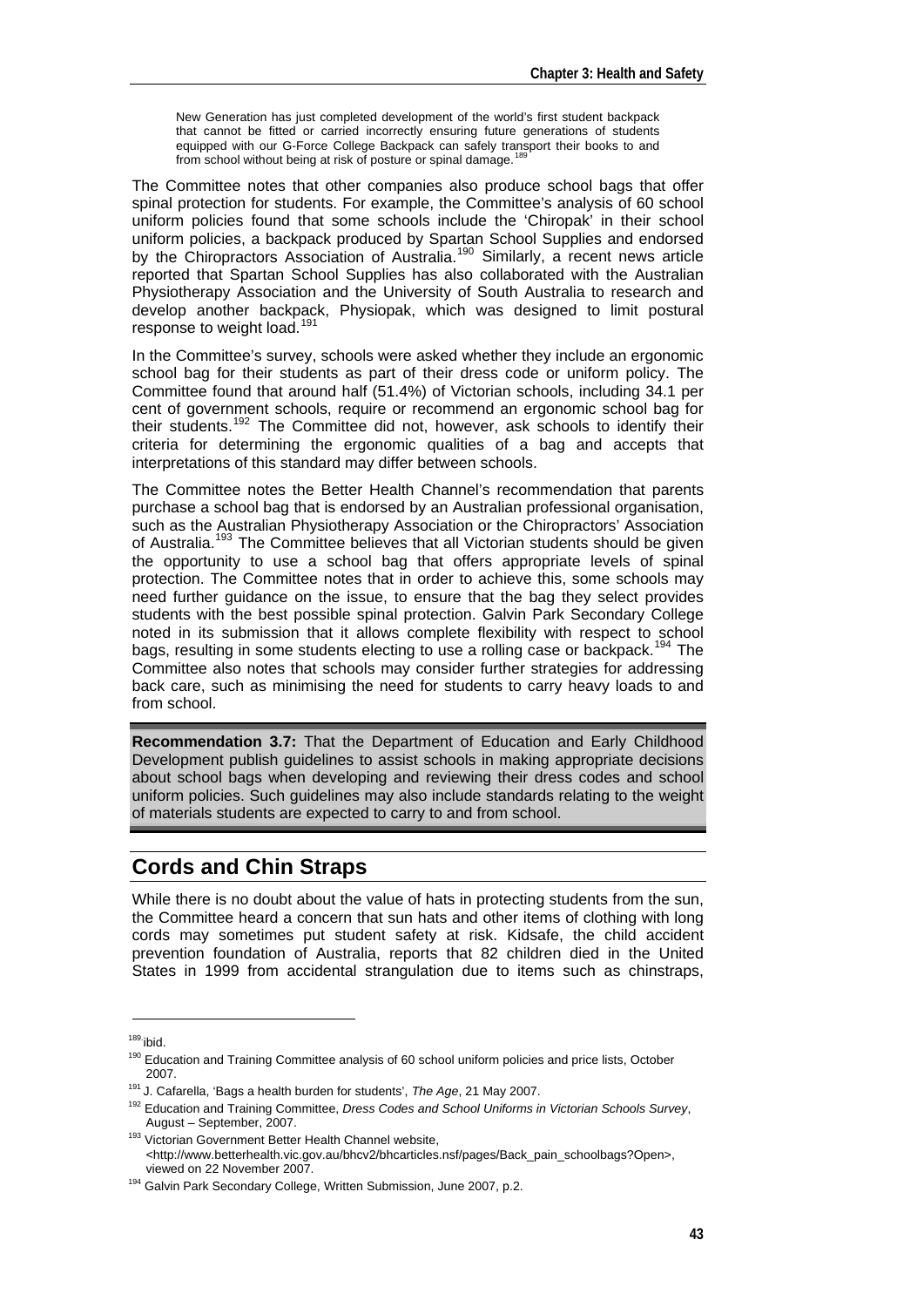New Generation has just completed development of the world's first student backpack that cannot be fitted or carried incorrectly ensuring future generations of students equipped with our G-Force College Backpack can safely transport their books to and from school without being at risk of posture or spinal damage.<sup>18</sup>

The Committee notes that other companies also produce school bags that offer spinal protection for students. For example, the Committee's analysis of 60 school uniform policies found that some schools include the 'Chiropak' in their school uniform policies, a backpack produced by Spartan School Supplies and endorsed by the Chiropractors Association of Australia.<sup>[190](#page-16-1)</sup> Similarly, a recent news article reported that Spartan School Supplies has also collaborated with the Australian Physiotherapy Association and the University of South Australia to research and develop another backpack, Physiopak, which was designed to limit postural response to weight load.<sup>[191](#page-16-2)</sup>

In the Committee's survey, schools were asked whether they include an ergonomic school bag for their students as part of their dress code or uniform policy. The Committee found that around half (51.4%) of Victorian schools, including 34.1 per cent of government schools, require or recommend an ergonomic school bag for their students.<sup>[192](#page-16-3)</sup> The Committee did not, however, ask schools to identify their criteria for determining the ergonomic qualities of a bag and accepts that interpretations of this standard may differ between schools.

The Committee notes the Better Health Channel's recommendation that parents purchase a school bag that is endorsed by an Australian professional organisation, such as the Australian Physiotherapy Association or the Chiropractors' Association of Australia.<sup>[193](#page-16-4)</sup> The Committee believes that all Victorian students should be given the opportunity to use a school bag that offers appropriate levels of spinal protection. The Committee notes that in order to achieve this, some schools may need further guidance on the issue, to ensure that the bag they select provides students with the best possible spinal protection. Galvin Park Secondary College noted in its submission that it allows complete flexibility with respect to school bags, resulting in some students electing to use a rolling case or backpack.<sup>[194](#page-16-5)</sup> The Committee also notes that schools may consider further strategies for addressing back care, such as minimising the need for students to carry heavy loads to and from school.

**Recommendation 3.7:** That the Department of Education and Early Childhood Development publish guidelines to assist schools in making appropriate decisions about school bags when developing and reviewing their dress codes and school uniform policies. Such guidelines may also include standards relating to the weight of materials students are expected to carry to and from school.

## **Cords and Chin Straps**

While there is no doubt about the value of hats in protecting students from the sun, the Committee heard a concern that sun hats and other items of clothing with long cords may sometimes put student safety at risk. Kidsafe, the child accident prevention foundation of Australia, reports that 82 children died in the United States in 1999 from accidental strangulation due to items such as chinstraps,

 $189.$ ibid.

<span id="page-16-1"></span><span id="page-16-0"></span><sup>&</sup>lt;sup>190</sup> Education and Training Committee analysis of 60 school uniform policies and price lists, October

<span id="page-16-2"></span>

<sup>2007. 191</sup> J. Cafarella, 'Bags a health burden for students', *The Age*, 21 May 2007. 192 Education and Training Committee, *Dress Codes and School Uniforms in Victorian Schools Survey*,

<span id="page-16-4"></span><span id="page-16-3"></span>August – September, 2007.<br><sup>193</sup> Victorian Government Better Health Channel website, <http://www.betterhealth.vic.gov.au/bhcv2/bhcarticles.nsf/pages/Back\_pain\_schoolbags?Open>, viewed on 22 November 2007.

<span id="page-16-5"></span><sup>&</sup>lt;sup>194</sup> Galvin Park Secondary College, Written Submission, June 2007, p.2.